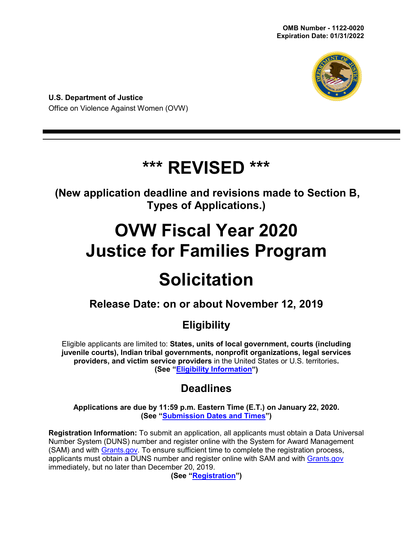

**U.S. Department of Justice** Office on Violence Against Women (OVW)

# **\*\*\* REVISED \*\*\***

**(New application deadline and revisions made to Section B, Types of Applications.)**

# **OVW Fiscal Year 2020 Justice for Families Program**

# **Solicitation**

# **Release Date: on or about November 12, 2019**

# **Eligibility**

Eligible applicants are limited to: **States, units of local government, courts (including juvenile courts), Indian tribal governments, nonprofit organizations, legal services providers, and victim service providers** in the United States or U.S. territories**. (See ["Eligibility Information"](#page-9-0))**

# **Deadlines**

**Applications are due by 11:59 p.m. Eastern Time (E.T.) on January 22, 2020. (See ["Submission Dates and Times"](#page-26-0))**

**Registration Information:** To submit an application, all applicants must obtain a Data Universal Number System (DUNS) number and register online with the System for Award Management (SAM) and with [Grants.gov.](https://www.grants.gov/) To ensure sufficient time to complete the registration process, applicants must obtain a DUNS number and register online with SAM and with [Grants.gov](http://www.grants.gov/) immediately, but no later than December 20, 2019.

**(See ["Registration"](#page-25-0))**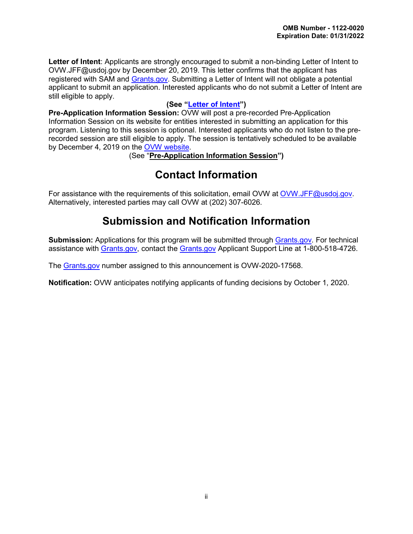**Letter of Intent**: Applicants are strongly encouraged to submit a non-binding Letter of Intent to OVW.JFF@usdoj.gov by December 20, 2019. This letter confirms that the applicant has registered with SAM and [Grants.gov.](http://www.grants.gov/) Submitting a Letter of Intent will not obligate a potential applicant to submit an application. Interested applicants who do not submit a Letter of Intent are still eligible to apply.

# **(See ["Letter of Intent"](#page-13-0))**

**Pre-Application Information Session:** OVW will post a pre-recorded Pre-Application Information Session on its website for entities interested in submitting an application for this program. Listening to this session is optional. Interested applicants who do not listen to the prerecorded session are still eligible to apply. The session is tentatively scheduled to be available by December 4, 2019 on the [OVW website.](https://www.justice.gov/ovw/resources-applicants)

(See "**Pre-Application Information Session")**

# **Contact Information**

For assistance with the requirements of this solicitation, email OVW at [OVW.JFF@usdoj.gov.](mailto:OVW.JFF@usdoj.gov) Alternatively, interested parties may call OVW at (202) 307-6026.

# **Submission and Notification Information**

**Submission:** Applications for this program will be submitted through [Grants.gov.](http://www.grants.gov/) For technical assistance with [Grants.gov,](http://www.grants.gov/) contact the [Grants.gov](http://www.grants.gov/) Applicant Support Line at 1-800-518-4726.

The [Grants.gov](http://www.grants.gov/) number assigned to this announcement is OVW-2020-17568.

**Notification:** OVW anticipates notifying applicants of funding decisions by October 1, 2020.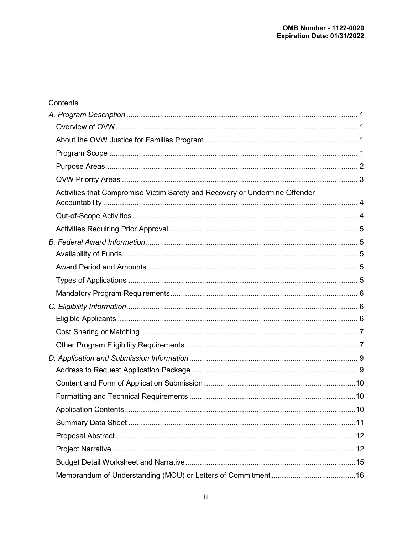| Contents                                                                    |  |
|-----------------------------------------------------------------------------|--|
|                                                                             |  |
|                                                                             |  |
|                                                                             |  |
|                                                                             |  |
|                                                                             |  |
|                                                                             |  |
| Activities that Compromise Victim Safety and Recovery or Undermine Offender |  |
|                                                                             |  |
|                                                                             |  |
|                                                                             |  |
|                                                                             |  |
|                                                                             |  |
|                                                                             |  |
|                                                                             |  |
|                                                                             |  |
|                                                                             |  |
|                                                                             |  |
|                                                                             |  |
|                                                                             |  |
|                                                                             |  |
|                                                                             |  |
|                                                                             |  |
|                                                                             |  |
|                                                                             |  |
|                                                                             |  |
|                                                                             |  |
|                                                                             |  |
|                                                                             |  |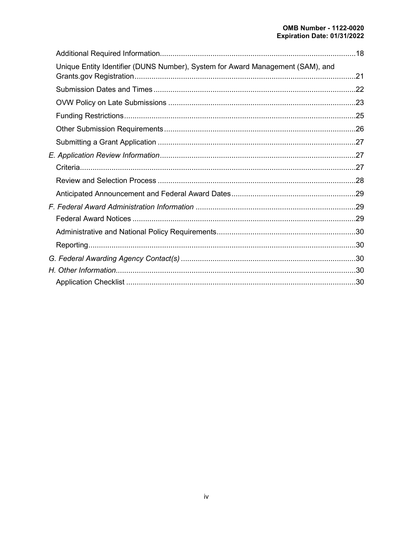| Unique Entity Identifier (DUNS Number), System for Award Management (SAM), and |  |
|--------------------------------------------------------------------------------|--|
|                                                                                |  |
|                                                                                |  |
|                                                                                |  |
|                                                                                |  |
|                                                                                |  |
|                                                                                |  |
|                                                                                |  |
|                                                                                |  |
|                                                                                |  |
|                                                                                |  |
|                                                                                |  |
|                                                                                |  |
|                                                                                |  |
|                                                                                |  |
|                                                                                |  |
|                                                                                |  |
|                                                                                |  |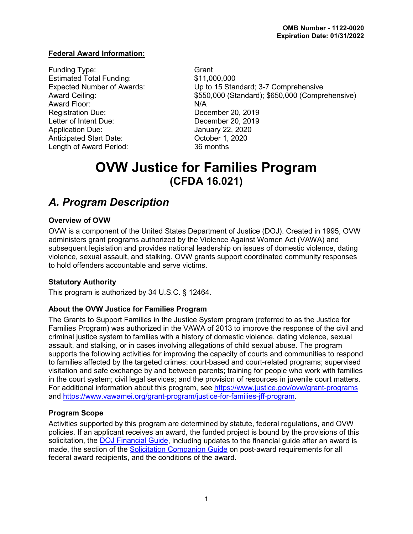# **Federal Award Information:**

Funding Type: Grant Estimated Total Funding: \$11,000,000 Award Floor: N/A Registration Due: December 20, 2019 Letter of Intent Due:<br>
Application Due: 
annuary 22, 2020 Anticipated Start Date: Case Corrected Start Date: Length of Award Period: 36 months

Expected Number of Awards: Up to 15 Standard; 3-7 Comprehensive Award Ceiling:  $$550,000$  (Standard); \$650,000 (Comprehensive) **January 22, 2020** 

# **OVW Justice for Families Program (CFDA 16.021)**

# <span id="page-4-0"></span>*A. Program Description*

# <span id="page-4-1"></span>**Overview of OVW**

OVW is a component of the United States Department of Justice (DOJ). Created in 1995, OVW administers grant programs authorized by the Violence Against Women Act (VAWA) and subsequent legislation and provides national leadership on issues of domestic violence, dating violence, sexual assault, and stalking. OVW grants support coordinated community responses to hold offenders accountable and serve victims.

# **Statutory Authority**

<span id="page-4-2"></span>This program is authorized by 34 U.S.C. § 12464.

# **About the OVW Justice for Families Program**

The Grants to Support Families in the Justice System program (referred to as the Justice for Families Program) was authorized in the VAWA of 2013 to improve the response of the civil and criminal justice system to families with a history of domestic violence, dating violence, sexual assault, and stalking, or in cases involving allegations of child sexual abuse. The program supports the following activities for improving the capacity of courts and communities to respond to families affected by the targeted crimes: court-based and court-related programs; supervised visitation and safe exchange by and between parents; training for people who work with families in the court system; civil legal services; and the provision of resources in juvenile court matters. For additional information about this program, see<https://www.justice.gov/ovw/grant-programs> and [https://www.vawamei.org/grant-program/justice-for-families-jff-program.](https://www.vawamei.org/grant-program/justice-for-families-jff-program)

# <span id="page-4-3"></span>**Program Scope**

Activities supported by this program are determined by statute, federal regulations, and OVW policies. If an applicant receives an award, the funded project is bound by the provisions of this solicitation, the [DOJ Financial Guide,](https://www.justice.gov/ovw/file/1030311/download) including updates to the financial guide after an award is made, the section of the [Solicitation Companion Guide](https://www.justice.gov/ovw/resources-applicants) on post-award requirements for all federal award recipients, and the conditions of the award.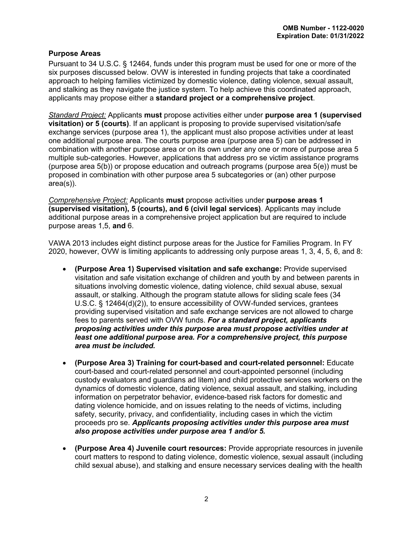#### <span id="page-5-0"></span>**Purpose Areas**

Pursuant to 34 U.S.C. § 12464, funds under this program must be used for one or more of the six purposes discussed below. OVW is interested in funding projects that take a coordinated approach to helping families victimized by domestic violence, dating violence, sexual assault, and stalking as they navigate the justice system. To help achieve this coordinated approach, applicants may propose either a **standard project or a comprehensive project**.

*Standard Project:* Applicants **must** propose activities either under **purpose area 1 (supervised visitation) or 5 (courts)**. If an applicant is proposing to provide supervised visitation/safe exchange services (purpose area 1), the applicant must also propose activities under at least one additional purpose area. The courts purpose area (purpose area 5) can be addressed in combination with another purpose area or on its own under any one or more of purpose area 5 multiple sub-categories. However, applications that address pro se victim assistance programs (purpose area 5(b)) or propose education and outreach programs (purpose area 5(e)) must be proposed in combination with other purpose area 5 subcategories or (an) other purpose area(s)).

*Comprehensive Project:* Applicants **must** propose activities under **purpose areas 1 (supervised visitation), 5 (courts), and 6 (civil legal services)**. Applicants may include additional purpose areas in a comprehensive project application but are required to include purpose areas 1,5, **and** 6.

VAWA 2013 includes eight distinct purpose areas for the Justice for Families Program. In FY 2020, however, OVW is limiting applicants to addressing only purpose areas 1, 3, 4, 5, 6, and 8:

- **(Purpose Area 1) Supervised visitation and safe exchange:** Provide supervised visitation and safe visitation exchange of children and youth by and between parents in situations involving domestic violence, dating violence, child sexual abuse, sexual assault, or stalking. Although the program statute allows for sliding scale fees (34 U.S.C. § 12464(d)(2)), to ensure accessibility of OVW-funded services, grantees providing supervised visitation and safe exchange services are not allowed to charge fees to parents served with OVW funds. *For a standard project, applicants proposing activities under this purpose area must propose activities under at least one additional purpose area. For a comprehensive project, this purpose area must be included.*
- **(Purpose Area 3) Training for court-based and court-related personnel:** Educate court-based and court-related personnel and court-appointed personnel (including custody evaluators and guardians ad litem) and child protective services workers on the dynamics of domestic violence, dating violence, sexual assault, and stalking, including information on perpetrator behavior, evidence-based risk factors for domestic and dating violence homicide, and on issues relating to the needs of victims, including safety, security, privacy, and confidentiality, including cases in which the victim proceeds pro se. *Applicants proposing activities under this purpose area must also propose activities under purpose area 1 and/or 5.*
- **(Purpose Area 4) Juvenile court resources:** Provide appropriate resources in juvenile court matters to respond to dating violence, domestic violence, sexual assault (including child sexual abuse), and stalking and ensure necessary services dealing with the health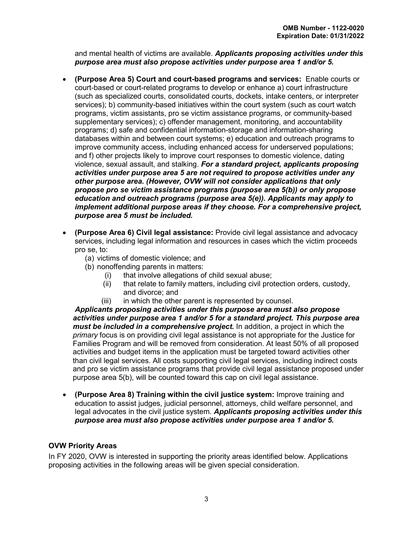and mental health of victims are available. *Applicants proposing activities under this purpose area must also propose activities under purpose area 1 and/or 5.*

- **(Purpose Area 5) Court and court-based programs and services:** Enable courts or court-based or court-related programs to develop or enhance a) court infrastructure (such as specialized courts, consolidated courts, dockets, intake centers, or interpreter services); b) community-based initiatives within the court system (such as court watch programs, victim assistants, pro se victim assistance programs, or community-based supplementary services); c) offender management, monitoring, and accountability programs; d) safe and confidential information-storage and information-sharing databases within and between court systems; e) education and outreach programs to improve community access, including enhanced access for underserved populations; and f) other projects likely to improve court responses to domestic violence, dating violence, sexual assault, and stalking. *For a standard project, applicants proposing activities under purpose area 5 are not required to propose activities under any other purpose area. (However, OVW will not consider applications that only propose pro se victim assistance programs (purpose area 5(b)) or only propose education and outreach programs (purpose area 5(e)). Applicants may apply to implement additional purpose areas if they choose. For a comprehensive project, purpose area 5 must be included.*
- **(Purpose Area 6) Civil legal assistance:** Provide civil legal assistance and advocacy services, including legal information and resources in cases which the victim proceeds pro se, to:
	- (a) victims of domestic violence; and
	- (b) nonoffending parents in matters:
		- (i) that involve allegations of child sexual abuse;
		- (ii) that relate to family matters, including civil protection orders, custody, and divorce; and
		- (iii) in which the other parent is represented by counsel.

*Applicants proposing activities under this purpose area must also propose activities under purpose area 1 and/or 5 for a standard project. This purpose area must be included in a comprehensive project.* In addition, a project in which the *primary* focus is on providing civil legal assistance is not appropriate for the Justice for Families Program and will be removed from consideration. At least 50% of all proposed activities and budget items in the application must be targeted toward activities other than civil legal services. All costs supporting civil legal services, including indirect costs and pro se victim assistance programs that provide civil legal assistance proposed under purpose area 5(b), will be counted toward this cap on civil legal assistance.

• **(Purpose Area 8) Training within the civil justice system:** Improve training and education to assist judges, judicial personnel, attorneys, child welfare personnel, and legal advocates in the civil justice system. *Applicants proposing activities under this purpose area must also propose activities under purpose area 1 and/or 5.*

# <span id="page-6-0"></span>**OVW Priority Areas**

In FY 2020, OVW is interested in supporting the priority areas identified below. Applications proposing activities in the following areas will be given special consideration.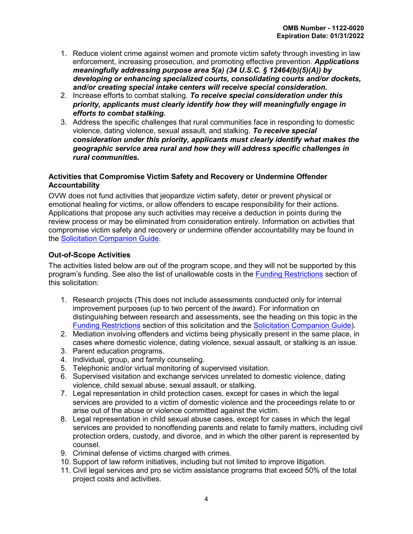- 1. Reduce violent crime against women and promote victim safety through investing in law enforcement, increasing prosecution, and promoting effective prevention. *Applications meaningfully addressing purpose area 5(a) (34 U.S.C. § 12464(b)(5)(A)) by developing or enhancing specialized courts, consolidating courts and/or dockets, and/or creating special intake centers will receive special consideration.*
- 2. Increase efforts to combat stalking. *To receive special consideration under this priority, applicants must clearly identify how they will meaningfully engage in efforts to combat stalking.*
- 3. Address the specific challenges that rural communities face in responding to domestic violence, dating violence, sexual assault, and stalking. *To receive special consideration under this priority, applicants must clearly identify what makes the geographic service area rural and how they will address specific challenges in rural communities.*

# <span id="page-7-2"></span><span id="page-7-0"></span>**Activities that Compromise Victim Safety and Recovery or Undermine Offender Accountability**

OVW does not fund activities that jeopardize victim safety, deter or prevent physical or emotional healing for victims, or allow offenders to escape responsibility for their actions. Applications that propose any such activities may receive a deduction in points during the review process or may be eliminated from consideration entirely. Information on activities that compromise victim safety and recovery or undermine offender accountability may be found in the [Solicitation Companion Guide.](https://www.justice.gov/ovw/resources-applicants)

# <span id="page-7-1"></span>**Out-of-Scope Activities**

The activities listed below are out of the program scope, and they will not be supported by this program's funding. See also the list of unallowable costs in the [Funding Restrictions](#page-28-0) section of this solicitation:

- 1. Research projects (This does not include assessments conducted only for internal improvement purposes (up to two percent of the award). For information on distinguishing between research and assessments, see the heading on this topic in the [Funding Restrictions](#page-28-0) section of this solicitation and the [Solicitation Companion Guide\)](https://www.justice.gov/ovw/resources-applicants).
- 2. Mediation involving offenders and victims being physically present in the same place, in cases where domestic violence, dating violence, sexual assault, or stalking is an issue.
- 3. Parent education programs.
- 4. Individual, group, and family counseling.
- 5. Telephonic and/or virtual monitoring of supervised visitation.
- 6. Supervised visitation and exchange services unrelated to domestic violence, dating violence, child sexual abuse, sexual assault, or stalking.
- 7. Legal representation in child protection cases, except for cases in which the legal services are provided to a victim of domestic violence and the proceedings relate to or arise out of the abuse or violence committed against the victim.
- 8. Legal representation in child sexual abuse cases, except for cases in which the legal services are provided to nonoffending parents and relate to family matters, including civil protection orders, custody, and divorce, and in which the other parent is represented by counsel.
- 9. Criminal defense of victims charged with crimes.
- 10. Support of law reform initiatives, including but not limited to improve litigation.
- 11. Civil legal services and pro se victim assistance programs that exceed 50% of the total project costs and activities.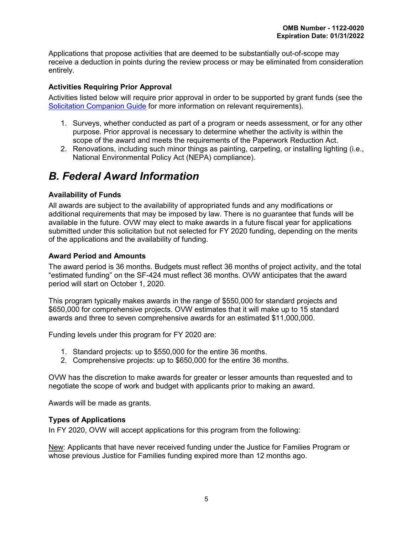Applications that propose activities that are deemed to be substantially out-of-scope may receive a deduction in points during the review process or may be eliminated from consideration entirely.

# <span id="page-8-0"></span>**Activities Requiring Prior Approval**

Activities listed below will require prior approval in order to be supported by grant funds (see the [Solicitation Companion Guide](https://www.justice.gov/ovw/resources-applicants) for more information on relevant requirements).

- 1. Surveys, whether conducted as part of a program or needs assessment, or for any other purpose. Prior approval is necessary to determine whether the activity is within the scope of the award and meets the requirements of the Paperwork Reduction Act.
- 2. Renovations, including such minor things as painting, carpeting, or installing lighting (i.e., National Environmental Policy Act (NEPA) compliance).

# <span id="page-8-1"></span>*B. Federal Award Information*

# <span id="page-8-2"></span>**Availability of Funds**

All awards are subject to the availability of appropriated funds and any modifications or additional requirements that may be imposed by law. There is no guarantee that funds will be available in the future. OVW may elect to make awards in a future fiscal year for applications submitted under this solicitation but not selected for FY 2020 funding, depending on the merits of the applications and the availability of funding.

# <span id="page-8-3"></span>**Award Period and Amounts**

The award period is 36 months. Budgets must reflect 36 months of project activity, and the total "estimated funding" on the SF-424 must reflect 36 months. OVW anticipates that the award period will start on October 1, 2020.

This program typically makes awards in the range of \$550,000 for standard projects and \$650,000 for comprehensive projects. OVW estimates that it will make up to 15 standard awards and three to seven comprehensive awards for an estimated \$11,000,000.

Funding levels under this program for FY 2020 are:

- 1. Standard projects: up to \$550,000 for the entire 36 months.
- 2. Comprehensive projects: up to \$650,000 for the entire 36 months.

OVW has the discretion to make awards for greater or lesser amounts than requested and to negotiate the scope of work and budget with applicants prior to making an award.

<span id="page-8-4"></span>Awards will be made as grants.

# **Types of Applications**

In FY 2020, OVW will accept applications for this program from the following:

New: Applicants that have never received funding under the Justice for Families Program or whose previous Justice for Families funding expired more than 12 months ago.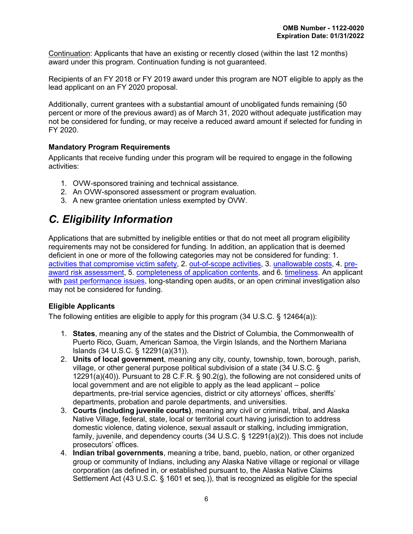Continuation: Applicants that have an existing or recently closed (within the last 12 months) award under this program. Continuation funding is not guaranteed.

Recipients of an FY 2018 or FY 2019 award under this program are NOT eligible to apply as the lead applicant on an FY 2020 proposal.

Additionally, current grantees with a substantial amount of unobligated funds remaining (50 percent or more of the previous award) as of March 31, 2020 without adequate justification may not be considered for funding, or may receive a reduced award amount if selected for funding in FY 2020.

# <span id="page-9-1"></span>**Mandatory Program Requirements**

Applicants that receive funding under this program will be required to engage in the following activities:

- 1. OVW-sponsored training and technical assistance.
- 2. An OVW-sponsored assessment or program evaluation.
- 3. A new grantee orientation unless exempted by OVW.

# <span id="page-9-0"></span>*C. Eligibility Information*

Applications that are submitted by ineligible entities or that do not meet all program eligibility requirements may not be considered for funding*.* In addition, an application that is deemed deficient in one or more of the following categories may not be considered for funding: 1. [activities that compromise victim safety,](#page-7-2) 2. [out-of-scope activities,](#page-7-1) 3. [unallowable costs,](#page-28-0) 4. [pre](#page-21-0)[award risk assessment,](#page-21-0) 5. completeness [of application contents,](#page-13-3) and 6. [timeliness.](#page-25-1) An applicant with [past performance](#page-30-1) issues, long-standing open audits, or an open criminal investigation also may not be considered for funding.

# <span id="page-9-2"></span>**Eligible Applicants**

The following entities are eligible to apply for this program (34 U.S.C. § 12464(a)):

- 1. **States**, meaning any of the states and the District of Columbia, the Commonwealth of Puerto Rico, Guam, American Samoa, the Virgin Islands, and the Northern Mariana Islands (34 U.S.C. § 12291(a)(31)).
- 2. **Units of local government**, meaning any city, county, township, town, borough, parish, village, or other general purpose political subdivision of a state (34 U.S.C. § 12291(a)(40)). Pursuant to 28 C.F.R. § 90.2(g), the following are not considered units of local government and are not eligible to apply as the lead applicant – police departments, pre-trial service agencies, district or city attorneys' offices, sheriffs' departments, probation and parole departments, and universities.
- 3. **Courts (including juvenile courts)**, meaning any civil or criminal, tribal, and Alaska Native Village, federal, state, local or territorial court having jurisdiction to address domestic violence, dating violence, sexual assault or stalking, including immigration, family, juvenile, and dependency courts (34 U.S.C. § 12291(a)(2)). This does not include prosecutors' offices.
- 4. **Indian tribal governments**, meaning a tribe, band, pueblo, nation, or other organized group or community of Indians, including any Alaska Native village or regional or village corporation (as defined in, or established pursuant to, the Alaska Native Claims Settlement Act (43 U.S.C. § 1601 et seq.)), that is recognized as eligible for the special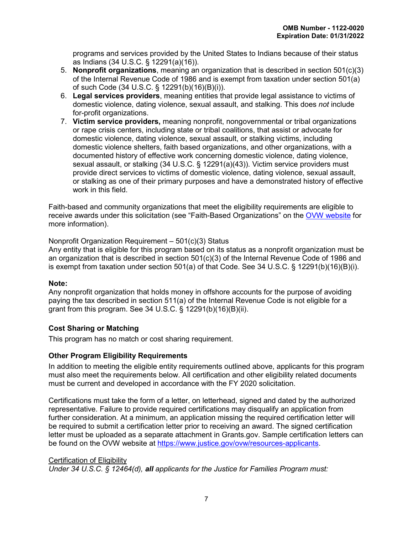programs and services provided by the United States to Indians because of their status as Indians (34 U.S.C. § 12291(a)(16)).

- 5. **Nonprofit organizations**, meaning an organization that is described in section 501(c)(3) of the Internal Revenue Code of 1986 and is exempt from taxation under section 501(a) of such Code (34 U.S.C. § 12291(b)(16)(B)(i)).
- 6. **Legal services providers**, meaning entities that provide legal assistance to victims of domestic violence, dating violence, sexual assault, and stalking. This does *not* include for-profit organizations.
- 7. **Victim service providers,** meaning nonprofit, nongovernmental or tribal organizations or rape crisis centers, including state or tribal coalitions, that assist or advocate for domestic violence, dating violence, sexual assault, or stalking victims, including domestic violence shelters, faith based organizations, and other organizations, with a documented history of effective work concerning domestic violence, dating violence, sexual assault, or stalking (34 U.S.C. § 12291(a)(43)). Victim service providers must provide direct services to victims of domestic violence, dating violence, sexual assault, or stalking as one of their primary purposes and have a demonstrated history of effective work in this field.

Faith-based and community organizations that meet the eligibility requirements are eligible to receive awards under this solicitation (see "Faith-Based Organizations" on the [OVW website](https://www.justice.gov/ovw/resources-applicants#Resources) for more information).

Nonprofit Organization Requirement – 501(c)(3) Status Any entity that is eligible for this program based on its status as a nonprofit organization must be an organization that is described in section 501(c)(3) of the Internal Revenue Code of 1986 and is exempt from taxation under section 501(a) of that Code. See 34 U.S.C.  $\S$  12291(b)(16)(B)(i).

# **Note:**

Any nonprofit organization that holds money in offshore accounts for the purpose of avoiding paying the tax described in section 511(a) of the Internal Revenue Code is not eligible for a grant from this program. See 34 U.S.C. § 12291(b)(16)(B)(ii).

# <span id="page-10-0"></span>**Cost Sharing or Matching**

This program has no match or cost sharing requirement.

# <span id="page-10-1"></span>**Other Program Eligibility Requirements**

In addition to meeting the eligible entity requirements outlined above, applicants for this program must also meet the requirements below. All certification and other eligibility related documents must be current and developed in accordance with the FY 2020 solicitation.

Certifications must take the form of a letter, on letterhead, signed and dated by the authorized representative. Failure to provide required certifications may disqualify an application from further consideration. At a minimum, an application missing the required certification letter will be required to submit a certification letter prior to receiving an award. The signed certification letter must be uploaded as a separate attachment in Grants.gov. Sample certification letters can be found on the OVW website at [https://www.justice.gov/ovw/resources-applicants.](https://www.justice.gov/ovw/resources-applicants)

#### Certification of Eligibility

*Under 34 U.S.C. § 12464(d), all applicants for the Justice for Families Program must:*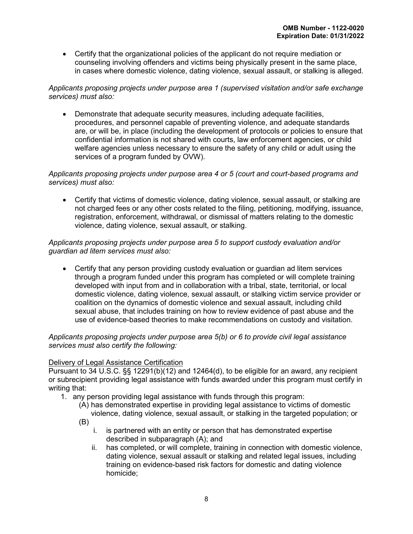• Certify that the organizational policies of the applicant do not require mediation or counseling involving offenders and victims being physically present in the same place, in cases where domestic violence, dating violence, sexual assault, or stalking is alleged.

# *Applicants proposing projects under purpose area 1 (supervised visitation and/or safe exchange services) must also:*

• Demonstrate that adequate security measures, including adequate facilities, procedures, and personnel capable of preventing violence, and adequate standards are, or will be, in place (including the development of protocols or policies to ensure that confidential information is not shared with courts, law enforcement agencies, or child welfare agencies unless necessary to ensure the safety of any child or adult using the services of a program funded by OVW).

# *Applicants proposing projects under purpose area 4 or 5 (court and court-based programs and services) must also:*

• Certify that victims of domestic violence, dating violence, sexual assault, or stalking are not charged fees or any other costs related to the filing, petitioning, modifying, issuance, registration, enforcement, withdrawal, or dismissal of matters relating to the domestic violence, dating violence, sexual assault, or stalking.

# *Applicants proposing projects under purpose area 5 to support custody evaluation and/or guardian ad litem services must also:*

• Certify that any person providing custody evaluation or guardian ad litem services through a program funded under this program has completed or will complete training developed with input from and in collaboration with a tribal, state, territorial, or local domestic violence, dating violence, sexual assault, or stalking victim service provider or coalition on the dynamics of domestic violence and sexual assault, including child sexual abuse, that includes training on how to review evidence of past abuse and the use of evidence-based theories to make recommendations on custody and visitation.

# *Applicants proposing projects under purpose area 5(b) or 6 to provide civil legal assistance services must also certify the following:*

# Delivery of Legal Assistance Certification

Pursuant to 34 U.S.C. §§ 12291(b)(12) and 12464(d), to be eligible for an award, any recipient or subrecipient providing legal assistance with funds awarded under this program must certify in writing that:

- 1. any person providing legal assistance with funds through this program:
	- (A) has demonstrated expertise in providing legal assistance to victims of domestic violence, dating violence, sexual assault, or stalking in the targeted population; or
	- (B)
		- i. is partnered with an entity or person that has demonstrated expertise described in subparagraph (A); and
		- ii. has completed, or will complete, training in connection with domestic violence, dating violence, sexual assault or stalking and related legal issues, including training on evidence-based risk factors for domestic and dating violence homicide;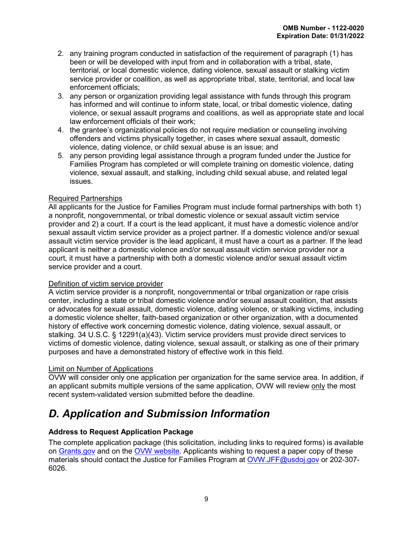- 2. any training program conducted in satisfaction of the requirement of paragraph (1) has been or will be developed with input from and in collaboration with a tribal, state, territorial, or local domestic violence, dating violence, sexual assault or stalking victim service provider or coalition, as well as appropriate tribal, state, territorial, and local law enforcement officials;
- 3. any person or organization providing legal assistance with funds through this program has informed and will continue to inform state, local, or tribal domestic violence, dating violence, or sexual assault programs and coalitions, as well as appropriate state and local law enforcement officials of their work;
- 4. the grantee's organizational policies do not require mediation or counseling involving offenders and victims physically together, in cases where sexual assault, domestic violence, dating violence, or child sexual abuse is an issue; and
- 5. any person providing legal assistance through a program funded under the Justice for Families Program has completed or will complete training on domestic violence, dating violence, sexual assault, and stalking, including child sexual abuse, and related legal issues.

# Required Partnerships

All applicants for the Justice for Families Program must include formal partnerships with both 1) a nonprofit, nongovernmental, or tribal domestic violence or sexual assault victim service provider and 2) a court. If a court is the lead applicant, it must have a domestic violence and/or sexual assault victim service provider as a project partner. If a domestic violence and/or sexual assault victim service provider is the lead applicant, it must have a court as a partner. If the lead applicant is neither a domestic violence and/or sexual assault victim service provider nor a court, it must have a partnership with both a domestic violence and/or sexual assault victim service provider and a court.

# Definition of victim service provider

A victim service provider is a nonprofit, nongovernmental or tribal organization or rape crisis center, including a state or tribal domestic violence and/or sexual assault coalition, that assists or advocates for sexual assault, domestic violence, dating violence, or stalking victims, including a domestic violence shelter, faith-based organization or other organization, with a documented history of effective work concerning domestic violence, dating violence, sexual assault, or stalking. 34 U.S.C. § 12291(a)(43). Victim service providers must provide direct services to victims of domestic violence, dating violence, sexual assault, or stalking as one of their primary purposes and have a demonstrated history of effective work in this field.

# Limit on Number of Applications

OVW will consider only one application per organization for the same service area. In addition, if an applicant submits multiple versions of the same application, OVW will review only the most recent system-validated version submitted before the deadline.

# <span id="page-12-0"></span>*D. Application and Submission Information*

# <span id="page-12-1"></span>**Address to Request Application Package**

The complete application package (this solicitation, including links to required forms) is available on [Grants.gov](http://www.grants.gov/) and on the [OVW website.](https://www.justice.gov/ovw/how-apply) Applicants wishing to request a paper copy of these materials should contact the Justice for Families Program at [OVW.JFF@usdoj.gov](mailto:OVW.JFF@usdoj.gov) or 202-307- 6026.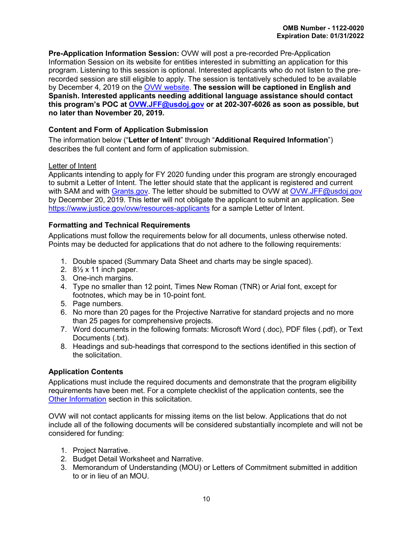**Pre-Application Information Session:** OVW will post a pre-recorded Pre-Application Information Session on its website for entities interested in submitting an application for this program. Listening to this session is optional. Interested applicants who do not listen to the prerecorded session are still eligible to apply. The session is tentatively scheduled to be available by December 4, 2019 on the [OVW website.](https://www.justice.gov/ovw/resources-applicants) **The session will be captioned in English and Spanish. Interested applicants needing additional language assistance should contact this program's POC at [OVW.JFF@usdoj.gov](mailto:OVW.JFF@usdoj.gov) or at 202-307-6026 as soon as possible, but no later than November 20, 2019.**

# <span id="page-13-1"></span>**Content and Form of Application Submission**

<span id="page-13-0"></span>The information below ("**Letter of Intent**" through "**Additional Required Information**") describes the full content and form of application submission.

# Letter of Intent

Applicants intending to apply for FY 2020 funding under this program are strongly encouraged to submit a Letter of Intent. The letter should state that the applicant is registered and current with SAM and with [Grants.gov.](http://www.grants.gov/) The letter should be submitted to OVW at [OVW.JFF@usdoj.gov](mailto:OVW.JFF@usdoj.gov) by December 20, 2019. This letter will not obligate the applicant to submit an application. See <https://www.justice.gov/ovw/resources-applicants> for a sample Letter of Intent.

# <span id="page-13-2"></span>**Formatting and Technical Requirements**

Applications must follow the requirements below for all documents, unless otherwise noted. Points may be deducted for applications that do not adhere to the following requirements:

- 1. Double spaced (Summary Data Sheet and charts may be single spaced).
- 2. 8½ x 11 inch paper.
- 3. One-inch margins.
- 4. Type no smaller than 12 point, Times New Roman (TNR) or Arial font, except for footnotes, which may be in 10-point font.
- 5. Page numbers.
- 6. No more than 20 pages for the Projective Narrative for standard projects and no more than 25 pages for comprehensive projects.
- 7. Word documents in the following formats: Microsoft Word (.doc), PDF files (.pdf), or Text Documents (.txt).
- 8. Headings and sub-headings that correspond to the sections identified in this section of the solicitation.

# <span id="page-13-3"></span>**Application Contents**

Applications must include the required documents and demonstrate that the program eligibility requirements have been met. For a complete checklist of the application contents, see the [Other Information](#page-33-3) section in this solicitation.

OVW will not contact applicants for missing items on the list below. Applications that do not include all of the following documents will be considered substantially incomplete and will not be considered for funding:

- 1. Project Narrative.
- 2. Budget Detail Worksheet and Narrative.
- 3. Memorandum of Understanding (MOU) or Letters of Commitment submitted in addition to or in lieu of an MOU.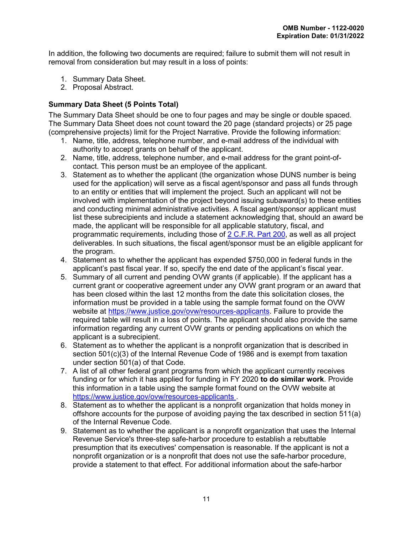In addition, the following two documents are required; failure to submit them will not result in removal from consideration but may result in a loss of points:

- 1. Summary Data Sheet.
- 2. Proposal Abstract.

# <span id="page-14-0"></span>**Summary Data Sheet (5 Points Total)**

The Summary Data Sheet should be one to four pages and may be single or double spaced. The Summary Data Sheet does not count toward the 20 page (standard projects) or 25 page (comprehensive projects) limit for the Project Narrative. Provide the following information:

- 1. Name, title, address, telephone number, and e-mail address of the individual with authority to accept grants on behalf of the applicant.
- 2. Name, title, address, telephone number, and e-mail address for the grant point-ofcontact. This person must be an employee of the applicant.
- 3. Statement as to whether the applicant (the organization whose DUNS number is being used for the application) will serve as a fiscal agent/sponsor and pass all funds through to an entity or entities that will implement the project. Such an applicant will not be involved with implementation of the project beyond issuing subaward(s) to these entities and conducting minimal administrative activities. A fiscal agent/sponsor applicant must list these subrecipients and include a statement acknowledging that, should an award be made, the applicant will be responsible for all applicable statutory, fiscal, and programmatic requirements, including those of [2 C.F.R.](http://www.ecfr.gov/cgi-bin/text-idx?tpl=/ecfrbrowse/Title02/2cfr200_main_02.tpl) Part 200, as well as all project deliverables. In such situations, the fiscal agent/sponsor must be an eligible applicant for the program.
- 4. Statement as to whether the applicant has expended \$750,000 in federal funds in the applicant's past fiscal year. If so, specify the end date of the applicant's fiscal year.
- 5. Summary of all current and pending OVW grants (if applicable). If the applicant has a current grant or cooperative agreement under any OVW grant program or an award that has been closed within the last 12 months from the date this solicitation closes, the information must be provided in a table using the sample format found on the OVW website at [https://www.justice.gov/ovw/resources-applicants.](https://www.justice.gov/ovw/resources-applicants) Failure to provide the required table will result in a loss of points. The applicant should also provide the same information regarding any current OVW grants or pending applications on which the applicant is a subrecipient.
- 6. Statement as to whether the applicant is a nonprofit organization that is described in section 501(c)(3) of the Internal Revenue Code of 1986 and is exempt from taxation under section 501(a) of that Code.
- 7. A list of all other federal grant programs from which the applicant currently receives funding or for which it has applied for funding in FY 2020 **to do similar work**. Provide this information in a table using the [sample format](https://www.justice.gov/ovw/resources-applicants) found on the OVW website at [https://www.justice.gov/ovw/resources-applicants .](https://www.justice.gov/ovw/resources-applicants)
- 8. Statement as to whether the applicant is a nonprofit organization that holds money in offshore accounts for the purpose of avoiding paying the tax described in section 511(a) of the Internal Revenue Code.
- 9. Statement as to whether the applicant is a nonprofit organization that uses the Internal Revenue Service's three-step safe-harbor procedure to establish a rebuttable presumption that its executives' compensation is reasonable. If the applicant is not a nonprofit organization or is a nonprofit that does not use the safe-harbor procedure, provide a statement to that effect. For additional information about the safe-harbor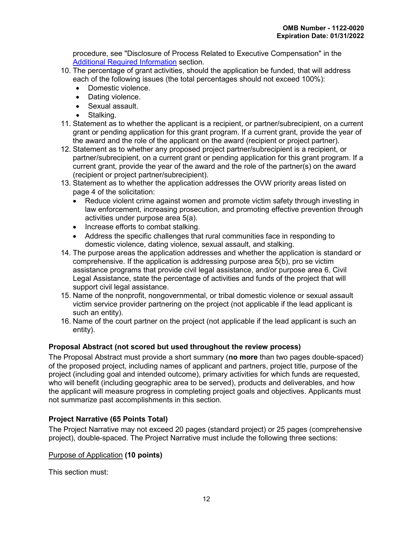procedure, see "Disclosure of Process Related to Executive Compensation" in the [Additional Required Information](#page-21-0) section.

- 10. The percentage of grant activities, should the application be funded, that will address each of the following issues (the total percentages should not exceed 100%):
	- Domestic violence.
	- Dating violence.
	- Sexual assault.
	- Stalking.
- 11. Statement as to whether the applicant is a recipient, or partner/subrecipient, on a current grant or pending application for this grant program. If a current grant, provide the year of the award and the role of the applicant on the award (recipient or project partner).
- 12. Statement as to whether any proposed project partner/subrecipient is a recipient, or partner/subrecipient, on a current grant or pending application for this grant program. If a current grant, provide the year of the award and the role of the partner(s) on the award (recipient or project partner/subrecipient).
- 13. Statement as to whether the application addresses the OVW priority areas listed on page 4 of the solicitation:
	- Reduce violent crime against women and promote victim safety through investing in law enforcement, increasing prosecution, and promoting effective prevention through activities under purpose area 5(a).
	- Increase efforts to combat stalking.
	- Address the specific challenges that rural communities face in responding to domestic violence, dating violence, sexual assault, and stalking.
- 14. The purpose areas the application addresses and whether the application is standard or comprehensive. If the application is addressing purpose area 5(b), pro se victim assistance programs that provide civil legal assistance, and/or purpose area 6, Civil Legal Assistance, state the percentage of activities and funds of the project that will support civil legal assistance.
- 15. Name of the nonprofit, nongovernmental, or tribal domestic violence or sexual assault victim service provider partnering on the project (not applicable if the lead applicant is such an entity).
- 16. Name of the court partner on the project (not applicable if the lead applicant is such an entity).

# <span id="page-15-0"></span>**Proposal Abstract (not scored but used throughout the review process)**

The Proposal Abstract must provide a short summary (**no more** than two pages double-spaced) of the proposed project, including names of applicant and partners, project title, purpose of the project (including goal and intended outcome), primary activities for which funds are requested, who will benefit (including geographic area to be served), products and deliverables, and how the applicant will measure progress in completing project goals and objectives. Applicants must not summarize past accomplishments in this section.

# <span id="page-15-1"></span>**Project Narrative (65 Points Total)**

The Project Narrative may not exceed 20 pages (standard project) or 25 pages (comprehensive project), double-spaced. The Project Narrative must include the following three sections:

# Purpose of Application **(10 points)**

This section must: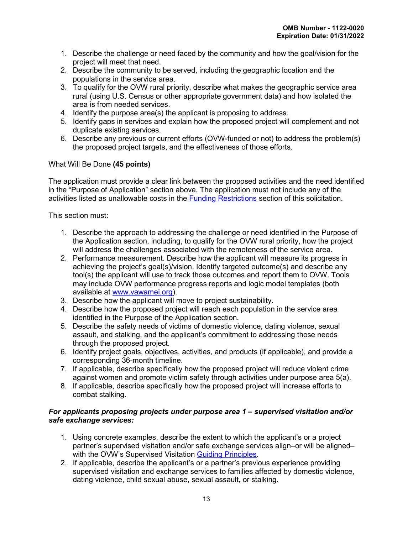- 1. Describe the challenge or need faced by the community and how the goal/vision for the project will meet that need.
- 2. Describe the community to be served, including the geographic location and the populations in the service area.
- 3. To qualify for the OVW rural priority, describe what makes the geographic service area rural (using U.S. Census or other appropriate government data) and how isolated the area is from needed services.
- 4. Identify the purpose area(s) the applicant is proposing to address.
- 5. Identify gaps in services and explain how the proposed project will complement and not duplicate existing services.
- 6. Describe any previous or current efforts (OVW-funded or not) to address the problem(s) the proposed project targets, and the effectiveness of those efforts.

# What Will Be Done **(45 points)**

The application must provide a clear link between the proposed activities and the need identified in the "Purpose of Application" section above. The application must not include any of the activities listed as unallowable costs in the [Funding Restrictions](#page-28-0) section of this solicitation.

This section must:

- 1. Describe the approach to addressing the challenge or need identified in the Purpose of the Application section, including, to qualify for the OVW rural priority, how the project will address the challenges associated with the remoteness of the service area.
- 2. Performance measurement. Describe how the applicant will measure its progress in achieving the project's goal(s)/vision. Identify targeted outcome(s) and describe any tool(s) the applicant will use to track those outcomes and report them to OVW. Tools may include OVW performance progress reports and logic model templates (both available at [www.vawamei.org\)](http://www.vawamei.org/).
- 3. Describe how the applicant will move to project sustainability.
- 4. Describe how the proposed project will reach each population in the service area identified in the Purpose of the Application section.
- 5. Describe the safety needs of victims of domestic violence, dating violence, sexual assault, and stalking, and the applicant's commitment to addressing those needs through the proposed project.
- 6. Identify project goals, objectives, activities, and products (if applicable), and provide a corresponding 36-month timeline.
- 7. If applicable, describe specifically how the proposed project will reduce violent crime against women and promote victim safety through activities under purpose area 5(a).
- 8. If applicable, describe specifically how the proposed project will increase efforts to combat stalking.

#### *For applicants proposing projects under purpose area 1 – supervised visitation and/or safe exchange services:*

- 1. Using concrete examples, describe the extent to which the applicant's or a project partner's supervised visitation and/or safe exchange services align–or will be aligned– with the OVW's Supervised Visitation [Guiding Principles.](https://www.justice.gov/sites/default/files/ovw/legacy/2008/08/06/guiding-principles032608.pdf)
- 2. If applicable, describe the applicant's or a partner's previous experience providing supervised visitation and exchange services to families affected by domestic violence, dating violence, child sexual abuse, sexual assault, or stalking.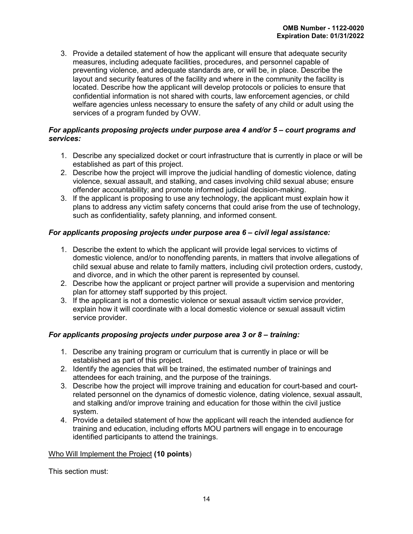3. Provide a detailed statement of how the applicant will ensure that adequate security measures, including adequate facilities, procedures, and personnel capable of preventing violence, and adequate standards are, or will be, in place. Describe the layout and security features of the facility and where in the community the facility is located. Describe how the applicant will develop protocols or policies to ensure that confidential information is not shared with courts, law enforcement agencies, or child welfare agencies unless necessary to ensure the safety of any child or adult using the services of a program funded by OVW.

#### *For applicants proposing projects under purpose area 4 and/or 5 – court programs and services:*

- 1. Describe any specialized docket or court infrastructure that is currently in place or will be established as part of this project.
- 2. Describe how the project will improve the judicial handling of domestic violence, dating violence, sexual assault, and stalking, and cases involving child sexual abuse; ensure offender accountability; and promote informed judicial decision-making.
- 3. If the applicant is proposing to use any technology, the applicant must explain how it plans to address any victim safety concerns that could arise from the use of technology, such as confidentiality, safety planning, and informed consent.

# *For applicants proposing projects under purpose area 6 – civil legal assistance:*

- 1. Describe the extent to which the applicant will provide legal services to victims of domestic violence, and/or to nonoffending parents, in matters that involve allegations of child sexual abuse and relate to family matters, including civil protection orders, custody, and divorce, and in which the other parent is represented by counsel.
- 2. Describe how the applicant or project partner will provide a supervision and mentoring plan for attorney staff supported by this project.
- 3. If the applicant is not a domestic violence or sexual assault victim service provider, explain how it will coordinate with a local domestic violence or sexual assault victim service provider.

# *For applicants proposing projects under purpose area 3 or 8 – training:*

- 1. Describe any training program or curriculum that is currently in place or will be established as part of this project.
- 2. Identify the agencies that will be trained, the estimated number of trainings and attendees for each training, and the purpose of the trainings.
- 3. Describe how the project will improve training and education for court-based and courtrelated personnel on the dynamics of domestic violence, dating violence, sexual assault, and stalking and/or improve training and education for those within the civil justice system.
- 4. Provide a detailed statement of how the applicant will reach the intended audience for training and education, including efforts MOU partners will engage in to encourage identified participants to attend the trainings.

# Who Will Implement the Project **(10 points**)

This section must: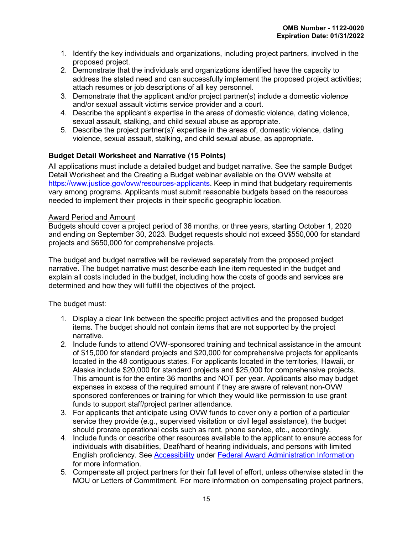- 1. Identify the key individuals and organizations, including project partners, involved in the proposed project.
- 2. Demonstrate that the individuals and organizations identified have the capacity to address the stated need and can successfully implement the proposed project activities; attach resumes or job descriptions of all key personnel.
- 3. Demonstrate that the applicant and/or project partner(s) include a domestic violence and/or sexual assault victims service provider and a court.
- 4. Describe the applicant's expertise in the areas of domestic violence, dating violence, sexual assault, stalking, and child sexual abuse as appropriate.
- 5. Describe the project partner(s)' expertise in the areas of, domestic violence, dating violence, sexual assault, stalking, and child sexual abuse, as appropriate.

# <span id="page-18-0"></span>**Budget Detail Worksheet and Narrative (15 Points)**

All applications must include a detailed budget and budget narrative. See the sample Budget Detail Worksheet and the Creating a Budget webinar available on the OVW website at [https://www.justice.gov/ovw/resources-applicants.](https://www.justice.gov/ovw/resources-applicants) Keep in mind that budgetary requirements vary among programs. Applicants must submit reasonable budgets based on the resources needed to implement their projects in their specific geographic location.

#### Award Period and Amount

Budgets should cover a project period of 36 months, or three years, starting October 1, 2020 and ending on September 30, 2023. Budget requests should not exceed \$550,000 for standard projects and \$650,000 for comprehensive projects.

The budget and budget narrative will be reviewed separately from the proposed project narrative. The budget narrative must describe each line item requested in the budget and explain all costs included in the budget, including how the costs of goods and services are determined and how they will fulfill the objectives of the project.

The budget must:

- 1. Display a clear link between the specific project activities and the proposed budget items. The budget should not contain items that are not supported by the project narrative.
- 2. Include funds to attend OVW-sponsored training and technical assistance in the amount of \$15,000 for standard projects and \$20,000 for comprehensive projects for applicants located in the 48 contiguous states. For applicants located in the territories, Hawaii, or Alaska include \$20,000 for standard projects and \$25,000 for comprehensive projects. This amount is for the entire 36 months and NOT per year. Applicants also may budget expenses in excess of the required amount if they are aware of relevant non-OVW sponsored conferences or training for which they would like permission to use grant funds to support staff/project partner attendance.
- 3. For applicants that anticipate using OVW funds to cover only a portion of a particular service they provide (e.g., supervised visitation or civil legal assistance), the budget should prorate operational costs such as rent, phone service, etc., accordingly.
- 4. Include funds or describe other resources available to the applicant to ensure access for individuals with disabilities, Deaf/hard of hearing individuals, and persons with limited English proficiency. See [Accessibility](#page-33-5) under [Federal Award Administration Information](#page-32-1) for more information.
- 5. Compensate all project partners for their full level of effort, unless otherwise stated in the MOU or Letters of Commitment. For more information on compensating project partners,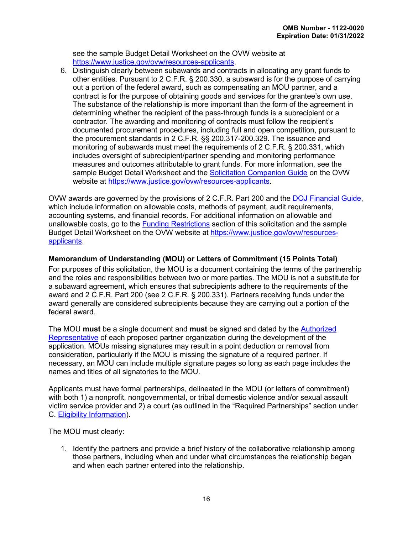see the sample Budget Detail Worksheet on the OVW website at [https://www.justice.gov/ovw/resources-applicants.](https://www.justice.gov/ovw/resources-applicants)

6. Distinguish clearly between subawards and contracts in allocating any grant funds to other entities. Pursuant to 2 C.F.R. § 200.330, a subaward is for the purpose of carrying out a portion of the federal award, such as compensating an MOU partner, and a contract is for the purpose of obtaining goods and services for the grantee's own use. The substance of the relationship is more important than the form of the agreement in determining whether the recipient of the pass-through funds is a subrecipient or a contractor. The awarding and monitoring of contracts must follow the recipient's documented procurement procedures, including full and open competition, pursuant to the procurement standards in 2 C.F.R. §§ 200.317-200.329. The issuance and monitoring of subawards must meet the requirements of 2 C.F.R. § 200.331, which includes oversight of subrecipient/partner spending and monitoring performance measures and outcomes attributable to grant funds. For more information, see the sample Budget Detail Worksheet and the [Solicitation Companion Guide](https://www.justice.gov/ovw/resources-applicants) on the OVW website at [https://www.justice.gov/ovw/resources-applicants.](https://www.justice.gov/ovw/resources-applicants)

OVW awards are governed by the provisions of 2 C.F.R. Part 200 and the [DOJ Financial Guide,](https://www.justice.gov/ovw/file/1030311/download) which include information on allowable costs, methods of payment, audit requirements, accounting systems, and financial records. For additional information on allowable and unallowable costs, go to the [Funding Restrictions](#page-28-0) section of this solicitation and the sample Budget Detail Worksheet on the OVW website at [https://www.justice.gov/ovw/resources](https://www.justice.gov/ovw/resources-applicants)[applicants.](https://www.justice.gov/ovw/resources-applicants)

# <span id="page-19-0"></span>**Memorandum of Understanding (MOU) or Letters of Commitment (15 Points Total)**

For purposes of this solicitation, the MOU is a document containing the terms of the partnership and the roles and responsibilities between two or more parties. The MOU is not a substitute for a subaward agreement, which ensures that subrecipients adhere to the requirements of the award and 2 C.F.R. Part 200 (see 2 C.F.R. § 200.331). Partners receiving funds under the award generally are considered subrecipients because they are carrying out a portion of the federal award.

The MOU **must** be a single document and **must** be signed and dated by the [Authorized](#page-21-0)  [Representative](#page-21-0) of each proposed partner organization during the development of the application. MOUs missing signatures may result in a point deduction or removal from consideration, particularly if the MOU is missing the signature of a required partner. If necessary, an MOU can include multiple signature pages so long as each page includes the names and titles of all signatories to the MOU.

Applicants must have formal partnerships, delineated in the MOU (or letters of commitment) with both 1) a nonprofit, nongovernmental, or tribal domestic violence and/or sexual assault victim service provider and 2) a court (as outlined in the "Required Partnerships" section under C. [Eligibility Information\)](#page-9-0).

The MOU must clearly:

1. Identify the partners and provide a brief history of the collaborative relationship among those partners, including when and under what circumstances the relationship began and when each partner entered into the relationship.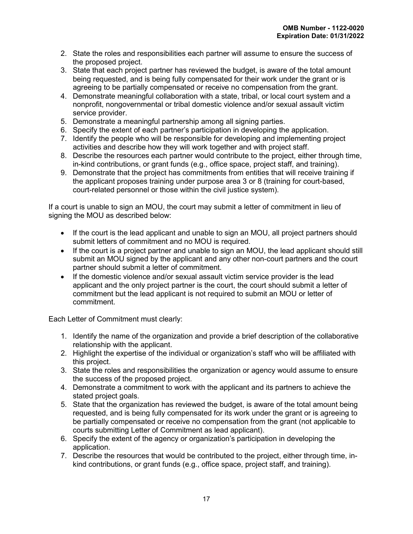- 2. State the roles and responsibilities each partner will assume to ensure the success of the proposed project.
- 3. State that each project partner has reviewed the budget, is aware of the total amount being requested, and is being fully compensated for their work under the grant or is agreeing to be partially compensated or receive no compensation from the grant.
- 4. Demonstrate meaningful collaboration with a state, tribal, or local court system and a nonprofit, nongovernmental or tribal domestic violence and/or sexual assault victim service provider.
- 5. Demonstrate a meaningful partnership among all signing parties.
- 6. Specify the extent of each partner's participation in developing the application.
- 7. Identify the people who will be responsible for developing and implementing project activities and describe how they will work together and with project staff.
- 8. Describe the resources each partner would contribute to the project, either through time, in-kind contributions, or grant funds (e.g., office space, project staff, and training).
- 9. Demonstrate that the project has commitments from entities that will receive training if the applicant proposes training under purpose area 3 or 8 (training for court-based, court-related personnel or those within the civil justice system).

If a court is unable to sign an MOU, the court may submit a letter of commitment in lieu of signing the MOU as described below:

- If the court is the lead applicant and unable to sign an MOU, all project partners should submit letters of commitment and no MOU is required.
- If the court is a project partner and unable to sign an MOU, the lead applicant should still submit an MOU signed by the applicant and any other non-court partners and the court partner should submit a letter of commitment.
- If the domestic violence and/or sexual assault victim service provider is the lead applicant and the only project partner is the court, the court should submit a letter of commitment but the lead applicant is not required to submit an MOU or letter of commitment.

Each Letter of Commitment must clearly:

- 1. Identify the name of the organization and provide a brief description of the collaborative relationship with the applicant.
- 2. Highlight the expertise of the individual or organization's staff who will be affiliated with this project.
- 3. State the roles and responsibilities the organization or agency would assume to ensure the success of the proposed project.
- 4. Demonstrate a commitment to work with the applicant and its partners to achieve the stated project goals.
- 5. State that the organization has reviewed the budget, is aware of the total amount being requested, and is being fully compensated for its work under the grant or is agreeing to be partially compensated or receive no compensation from the grant (not applicable to courts submitting Letter of Commitment as lead applicant).
- 6. Specify the extent of the agency or organization's participation in developing the application.
- 7. Describe the resources that would be contributed to the project, either through time, inkind contributions, or grant funds (e.g., office space, project staff, and training).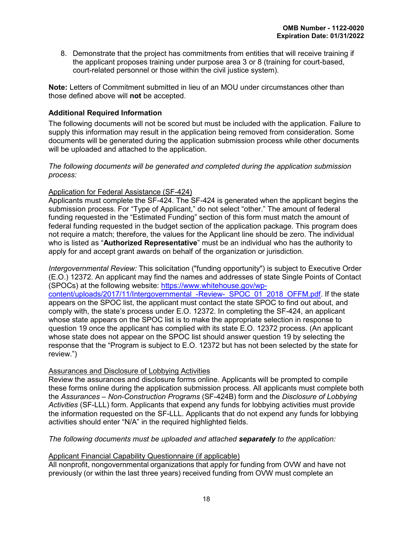8. Demonstrate that the project has commitments from entities that will receive training if the applicant proposes training under purpose area 3 or 8 (training for court-based, court-related personnel or those within the civil justice system).

**Note:** Letters of Commitment submitted in lieu of an MOU under circumstances other than those defined above will **not** be accepted.

# <span id="page-21-0"></span>**Additional Required Information**

The following documents will not be scored but must be included with the application. Failure to supply this information may result in the application being removed from consideration. Some documents will be generated during the application submission process while other documents will be uploaded and attached to the application.

*The following documents will be generated and completed during the application submission process:*

# Application for Federal Assistance (SF-424)

Applicants must complete the SF-424. The SF-424 is generated when the applicant begins the submission process. For "Type of Applicant," do not select "other." The amount of federal funding requested in the "Estimated Funding" section of this form must match the amount of federal funding requested in the budget section of the application package. This program does not require a match; therefore, the values for the Applicant line should be zero. The individual who is listed as "**Authorized Representative**" must be an individual who has the authority to apply for and accept grant awards on behalf of the organization or jurisdiction.

*Intergovernmental Review:* This solicitation ("funding opportunity") is subject to Executive Order (E.O.) 12372. An applicant may find the names and addresses of state Single Points of Contact (SPOCs) at the following website: [https://www.whitehouse.gov/wp](https://www.whitehouse.gov/wp-content/uploads/2017/11/Intergovernmental_-Review-_SPOC_01_2018_OFFM.pdf)[content/uploads/2017/11/Intergovernmental\\_-Review-\\_SPOC\\_01\\_2018\\_OFFM.pdf.](https://www.whitehouse.gov/wp-content/uploads/2017/11/Intergovernmental_-Review-_SPOC_01_2018_OFFM.pdf) If the state appears on the SPOC list, the applicant must contact the state SPOC to find out about, and comply with, the state's process under E.O. 12372. In completing the SF-424, an applicant whose state appears on the SPOC list is to make the appropriate selection in response to question 19 once the applicant has complied with its state E.O. 12372 process. (An applicant whose state does not appear on the SPOC list should answer question 19 by selecting the response that the "Program is subject to E.O. 12372 but has not been selected by the state for review.")

# Assurances and Disclosure of Lobbying Activities

Review the assurances and disclosure forms online. Applicants will be prompted to compile these forms online during the application submission process. All applicants must complete both the *Assurances – Non-Construction Programs* (SF-424B) form and the *Disclosure of Lobbying Activities* (SF-LLL) form. Applicants that expend any funds for lobbying activities must provide the information requested on the SF-LLL. Applicants that do not expend any funds for lobbying activities should enter "N/A" in the required highlighted fields.

*The following documents must be uploaded and attached separately to the application:* 

# Applicant Financial Capability Questionnaire (if applicable)

All nonprofit, nongovernmental organizations that apply for funding from OVW and have not previously (or within the last three years) received funding from OVW must complete an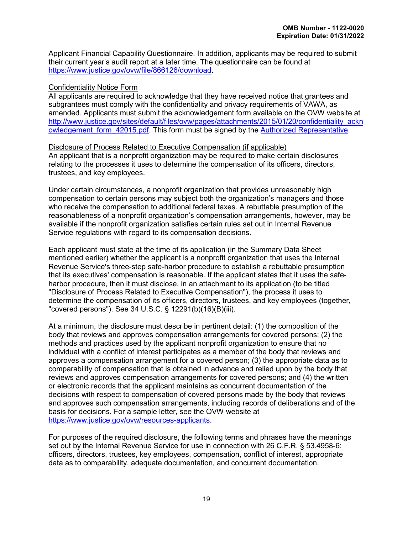Applicant Financial Capability Questionnaire. In addition, applicants may be required to submit their current year's audit report at a later time. The questionnaire can be found at [https://www.justice.gov/ovw/file/866126/download.](https://www.justice.gov/ovw/file/866126/download)

#### Confidentiality Notice Form

All applicants are required to acknowledge that they have received notice that grantees and subgrantees must comply with the confidentiality and privacy requirements of VAWA, as amended. Applicants must submit the acknowledgement form available on the OVW website at [http://www.justice.gov/sites/default/files/ovw/pages/attachments/2015/01/20/confidentiality\\_ackn](http://www.justice.gov/sites/default/files/ovw/pages/attachments/2015/01/20/confidentiality_acknowledgement_form_42015.pdf) owledgement form 42015.pdf. This form must be signed by the [Authorized Representative.](#page-21-0)

#### Disclosure of Process Related to Executive Compensation (if applicable) An applicant that is a nonprofit organization may be required to make certain disclosures relating to the processes it uses to determine the compensation of its officers, directors, trustees, and key employees.

Under certain circumstances, a nonprofit organization that provides unreasonably high compensation to certain persons may subject both the organization's managers and those who receive the compensation to additional federal taxes. A rebuttable presumption of the reasonableness of a nonprofit organization's compensation arrangements, however, may be available if the nonprofit organization satisfies certain rules set out in Internal Revenue Service regulations with regard to its compensation decisions.

Each applicant must state at the time of its application (in the Summary Data Sheet mentioned earlier) whether the applicant is a nonprofit organization that uses the Internal Revenue Service's three-step safe-harbor procedure to establish a rebuttable presumption that its executives' compensation is reasonable. If the applicant states that it uses the safeharbor procedure, then it must disclose, in an attachment to its application (to be titled "Disclosure of Process Related to Executive Compensation"), the process it uses to determine the compensation of its officers, directors, trustees, and key employees (together, "covered persons"). See 34 U.S.C. § 12291(b)(16)(B)(iii).

At a minimum, the disclosure must describe in pertinent detail: (1) the composition of the body that reviews and approves compensation arrangements for covered persons; (2) the methods and practices used by the applicant nonprofit organization to ensure that no individual with a conflict of interest participates as a member of the body that reviews and approves a compensation arrangement for a covered person; (3) the appropriate data as to comparability of compensation that is obtained in advance and relied upon by the body that reviews and approves compensation arrangements for covered persons; and (4) the written or electronic records that the applicant maintains as concurrent documentation of the decisions with respect to compensation of covered persons made by the body that reviews and approves such compensation arrangements, including records of deliberations and of the basis for decisions. For a [sample letter,](https://www.justice.gov/ovw/resources-applicants) see the OVW website at [https://www.justice.gov/ovw/resources-applicants.](https://www.justice.gov/ovw/resources-applicants)

For purposes of the required disclosure, the following terms and phrases have the meanings set out by the Internal Revenue Service for use in connection with 26 C.F.R. § 53.4958-6: officers, directors, trustees, key employees, compensation, conflict of interest, appropriate data as to comparability, adequate documentation, and concurrent documentation.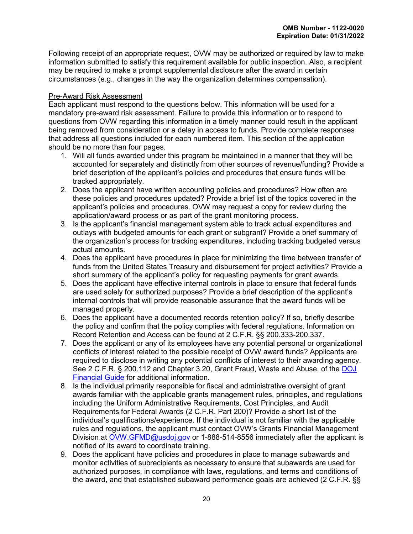Following receipt of an appropriate request, OVW may be authorized or required by law to make information submitted to satisfy this requirement available for public inspection. Also, a recipient may be required to make a prompt supplemental disclosure after the award in certain circumstances (e.g., changes in the way the organization determines compensation).

#### Pre-Award Risk Assessment

Each applicant must respond to the questions below. This information will be used for a mandatory pre-award risk assessment. Failure to provide this information or to respond to questions from OVW regarding this information in a timely manner could result in the applicant being removed from consideration or a delay in access to funds. Provide complete responses that address all questions included for each numbered item. This section of the application should be no more than four pages.

- 1. Will all funds awarded under this program be maintained in a manner that they will be accounted for separately and distinctly from other sources of revenue/funding? Provide a brief description of the applicant's policies and procedures that ensure funds will be tracked appropriately.
- 2. Does the applicant have written accounting policies and procedures? How often are these policies and procedures updated? Provide a brief list of the topics covered in the applicant's policies and procedures. OVW may request a copy for review during the application/award process or as part of the grant monitoring process.
- 3. Is the applicant's financial management system able to track actual expenditures and outlays with budgeted amounts for each grant or subgrant? Provide a brief summary of the organization's process for tracking expenditures, including tracking budgeted versus actual amounts.
- 4. Does the applicant have procedures in place for minimizing the time between transfer of funds from the United States Treasury and disbursement for project activities? Provide a short summary of the applicant's policy for requesting payments for grant awards.
- 5. Does the applicant have effective internal controls in place to ensure that federal funds are used solely for authorized purposes? Provide a brief description of the applicant's internal controls that will provide reasonable assurance that the award funds will be managed properly.
- 6. Does the applicant have a documented records retention policy? If so, briefly describe the policy and confirm that the policy complies with federal regulations. Information on Record Retention and Access can be found at 2 C.F.R. §§ 200.333-200.337.
- 7. Does the applicant or any of its employees have any potential personal or organizational conflicts of interest related to the possible receipt of OVW award funds? Applicants are required to disclose in writing any potential conflicts of interest to their awarding agency. See 2 C.F.R. § 200.112 and Chapter 3.20, Grant Fraud, Waste and Abuse, of the [DOJ](https://www.justice.gov/ovw/file/1030311/download)  [Financial Guide](https://www.justice.gov/ovw/file/1030311/download) for additional information.
- 8. Is the individual primarily responsible for fiscal and administrative oversight of grant awards familiar with the applicable grants management rules, principles, and regulations including the Uniform Administrative Requirements, Cost Principles, and Audit Requirements for Federal Awards (2 C.F.R. Part 200)? Provide a short list of the individual's qualifications/experience. If the individual is not familiar with the applicable rules and regulations, the applicant must contact OVW's Grants Financial Management Division at [OVW.GFMD@usdoj.gov](mailto:OVW.GFMD@usdoj.gov) or 1-888-514-8556 immediately after the applicant is notified of its award to coordinate training.
- 9. Does the applicant have policies and procedures in place to manage subawards and monitor activities of subrecipients as necessary to ensure that subawards are used for authorized purposes, in compliance with laws, regulations, and terms and conditions of the award, and that established subaward performance goals are achieved (2 C.F.R. §§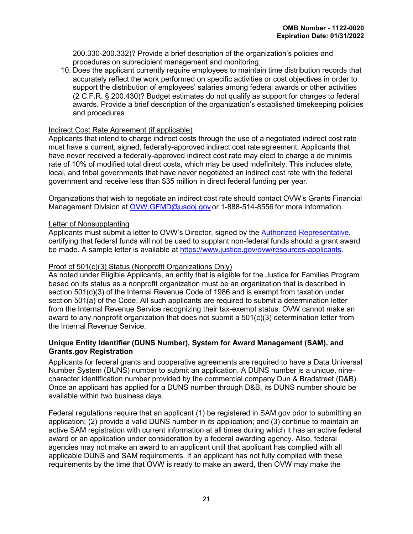200.330-200.332)? Provide a brief description of the organization's policies and procedures on subrecipient management and monitoring.

10. Does the applicant currently require employees to maintain time distribution records that accurately reflect the work performed on specific activities or cost objectives in order to support the distribution of employees' salaries among federal awards or other activities (2 C.F.R. § 200.430)? Budget estimates do not qualify as support for charges to federal awards. Provide a brief description of the organization's established timekeeping policies and procedures.

#### Indirect Cost Rate Agreement (if applicable)

Applicants that intend to charge indirect costs through the use of a negotiated indirect cost rate must have a current, signed, federally-approved indirect cost rate agreement. Applicants that have never received a federally-approved indirect cost rate may elect to charge a de minimis rate of 10% of modified total direct costs, which may be used indefinitely. This includes state, local, and tribal governments that have never negotiated an indirect cost rate with the federal government and receive less than \$35 million in direct federal funding per year.

Organizations that wish to negotiate an indirect cost rate should contact OVW's Grants Financial Management Division at [OVW.GFMD@usdoj.gov](mailto:OVW.GFMD@usdoj.gov) or 1-888-514-8556 for more information.

#### Letter of Nonsupplanting

Applicants must submit a letter to OVW's Director, signed by the [Authorized Representative,](#page-21-0) certifying that federal funds will not be used to supplant non-federal funds should a grant award be made. A sample letter is available at [https://www.justice.gov/ovw/resources-applicants.](https://www.justice.gov/ovw/resources-applicants)

#### Proof of 501(c)(3) Status (Nonprofit Organizations Only)

As noted under Eligible Applicants, an entity that is eligible for the Justice for Families Program based on its status as a nonprofit organization must be an organization that is described in section 501(c)(3) of the Internal Revenue Code of 1986 and is exempt from taxation under section 501(a) of the Code. All such applicants are required to submit a determination letter from the Internal Revenue Service recognizing their tax-exempt status. OVW cannot make an award to any nonprofit organization that does not submit a 501(c)(3) determination letter from the Internal Revenue Service.

#### <span id="page-24-0"></span>**Unique Entity Identifier (DUNS Number), System for Award Management (SAM), and Grants.gov Registration**

Applicants for federal grants and cooperative agreements are required to have a Data Universal Number System (DUNS) number to submit an application. A DUNS number is a unique, ninecharacter identification number provided by the commercial company Dun & Bradstreet (D&B). Once an applicant has applied for a DUNS number through D&B, its DUNS number should be available within two business days.

Federal regulations require that an applicant (1) be registered in SAM.gov prior to submitting an application; (2) provide a valid DUNS number in its application; and (3) continue to maintain an active SAM registration with current information at all times during which it has an active federal award or an application under consideration by a federal awarding agency. Also, federal agencies may not make an award to an applicant until that applicant has complied with all applicable DUNS and SAM requirements. If an applicant has not fully complied with these requirements by the time that OVW is ready to make an award, then OVW may make the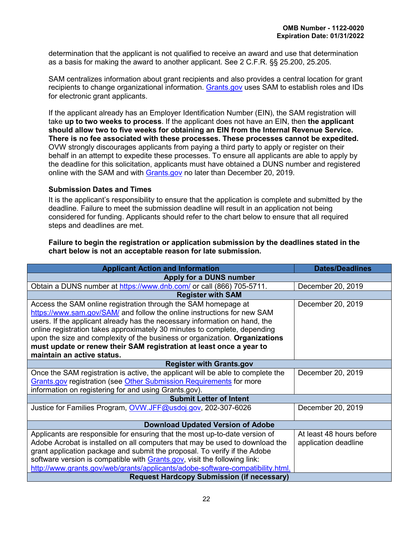determination that the applicant is not qualified to receive an award and use that determination as a basis for making the award to another applicant. See 2 C.F.R. §§ 25.200, 25.205.

<span id="page-25-0"></span>SAM centralizes information about grant recipients and also provides a central location for grant recipients to change organizational information. [Grants.gov](http://www.grants.gov/) uses SAM to establish roles and IDs for electronic grant applicants.

If the applicant already has an Employer Identification Number (EIN), the SAM registration will take **up to two weeks to process**. If the applicant does not have an EIN, then **the applicant should allow two to five weeks for obtaining an EIN from the Internal Revenue Service. There is no fee associated with these processes. These processes cannot be expedited.**  OVW strongly discourages applicants from paying a third party to apply or register on their behalf in an attempt to expedite these processes. To ensure all applicants are able to apply by the deadline for this solicitation, applicants must have obtained a DUNS number and registered online with the SAM and with [Grants.gov](http://www.grants.gov/) no later than December 20, 2019.

#### <span id="page-25-1"></span>**Submission Dates and Times**

It is the applicant's responsibility to ensure that the application is complete and submitted by the deadline. Failure to meet the submission deadline will result in an application not being considered for funding. Applicants should refer to the chart below to ensure that all required steps and deadlines are met.

#### **Failure to begin the registration or application submission by the deadlines stated in the chart below is not an acceptable reason for late submission.**

| <b>Applicant Action and Information</b>                                           | <b>Dates/Deadlines</b>   |  |  |
|-----------------------------------------------------------------------------------|--------------------------|--|--|
| Apply for a DUNS number                                                           |                          |  |  |
| Obtain a DUNS number at https://www.dnb.com/ or call (866) 705-5711.              | December 20, 2019        |  |  |
| <b>Register with SAM</b>                                                          |                          |  |  |
| Access the SAM online registration through the SAM homepage at                    | December 20, 2019        |  |  |
| https://www.sam.gov/SAM/ and follow the online instructions for new SAM           |                          |  |  |
| users. If the applicant already has the necessary information on hand, the        |                          |  |  |
| online registration takes approximately 30 minutes to complete, depending         |                          |  |  |
| upon the size and complexity of the business or organization. Organizations       |                          |  |  |
| must update or renew their SAM registration at least once a year to               |                          |  |  |
| maintain an active status.                                                        |                          |  |  |
| <b>Register with Grants.gov</b>                                                   |                          |  |  |
| Once the SAM registration is active, the applicant will be able to complete the   | December 20, 2019        |  |  |
| <b>Grants.gov registration (see Other Submission Requirements for more</b>        |                          |  |  |
| information on registering for and using Grants.gov).                             |                          |  |  |
| <b>Submit Letter of Intent</b>                                                    |                          |  |  |
| Justice for Families Program, OVW.JFF@usdoj.gov, 202-307-6026                     | December 20, 2019        |  |  |
|                                                                                   |                          |  |  |
| <b>Download Updated Version of Adobe</b>                                          |                          |  |  |
| Applicants are responsible for ensuring that the most up-to-date version of       | At least 48 hours before |  |  |
| Adobe Acrobat is installed on all computers that may be used to download the      | application deadline     |  |  |
| grant application package and submit the proposal. To verify if the Adobe         |                          |  |  |
| software version is compatible with <b>Grants.gov</b> , visit the following link: |                          |  |  |
| http://www.grants.gov/web/grants/applicants/adobe-software-compatibility.html.    |                          |  |  |
| <b>Request Hardcopy Submission (if necessary)</b>                                 |                          |  |  |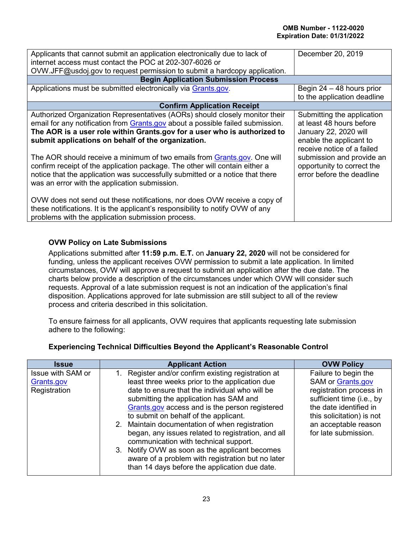| Applicants that cannot submit an application electronically due to lack of<br>internet access must contact the POC at 202-307-6026 or | December 20, 2019           |
|---------------------------------------------------------------------------------------------------------------------------------------|-----------------------------|
| OVW.JFF@usdoj.gov to request permission to submit a hardcopy application.                                                             |                             |
| <b>Begin Application Submission Process</b>                                                                                           |                             |
| Applications must be submitted electronically via Grants.gov.                                                                         | Begin $24 - 48$ hours prior |
|                                                                                                                                       | to the application deadline |
| <b>Confirm Application Receipt</b>                                                                                                    |                             |
| Authorized Organization Representatives (AORs) should closely monitor their                                                           | Submitting the application  |
| email for any notification from Grants.gov about a possible failed submission.                                                        | at least 48 hours before    |
| The AOR is a user role within Grants.gov for a user who is authorized to                                                              | January 22, 2020 will       |
| submit applications on behalf of the organization.                                                                                    | enable the applicant to     |
|                                                                                                                                       | receive notice of a failed  |
| The AOR should receive a minimum of two emails from Grants.gov. One will                                                              | submission and provide an   |
| confirm receipt of the application package. The other will contain either a                                                           | opportunity to correct the  |
| notice that the application was successfully submitted or a notice that there                                                         | error before the deadline   |
| was an error with the application submission.                                                                                         |                             |
|                                                                                                                                       |                             |
| OVW does not send out these notifications, nor does OVW receive a copy of                                                             |                             |
| these notifications. It is the applicant's responsibility to notify OVW of any                                                        |                             |
| problems with the application submission process.                                                                                     |                             |

# <span id="page-26-0"></span>**OVW Policy on Late Submissions**

Applications submitted after **11:59 p.m. E.T.** on **January 22, 2020** will not be considered for funding, unless the applicant receives OVW permission to submit a late application. In limited circumstances, OVW will approve a request to submit an application after the due date. The charts below provide a description of the circumstances under which OVW will consider such requests. Approval of a late submission request is not an indication of the application's final disposition. Applications approved for late submission are still subject to all of the review process and criteria described in this solicitation.

To ensure fairness for all applicants, OVW requires that applicants requesting late submission adhere to the following:

| <b>Issue</b>                                    | <b>Applicant Action</b>                                                                                                                                                                                                                                                                                                                                                                                                                                                                                                                              | <b>OVW Policy</b>                                                                                                                                                                                               |
|-------------------------------------------------|------------------------------------------------------------------------------------------------------------------------------------------------------------------------------------------------------------------------------------------------------------------------------------------------------------------------------------------------------------------------------------------------------------------------------------------------------------------------------------------------------------------------------------------------------|-----------------------------------------------------------------------------------------------------------------------------------------------------------------------------------------------------------------|
| Issue with SAM or<br>Grants.gov<br>Registration | Register and/or confirm existing registration at<br>least three weeks prior to the application due<br>date to ensure that the individual who will be<br>submitting the application has SAM and<br>Grants.gov access and is the person registered<br>to submit on behalf of the applicant.<br>2. Maintain documentation of when registration<br>began, any issues related to registration, and all<br>communication with technical support.<br>Notify OVW as soon as the applicant becomes<br>3.<br>aware of a problem with registration but no later | Failure to begin the<br><b>SAM or Grants.gov</b><br>registration process in<br>sufficient time (i.e., by<br>the date identified in<br>this solicitation) is not<br>an acceptable reason<br>for late submission. |
|                                                 | than 14 days before the application due date.                                                                                                                                                                                                                                                                                                                                                                                                                                                                                                        |                                                                                                                                                                                                                 |

# **Experiencing Technical Difficulties Beyond the Applicant's Reasonable Control**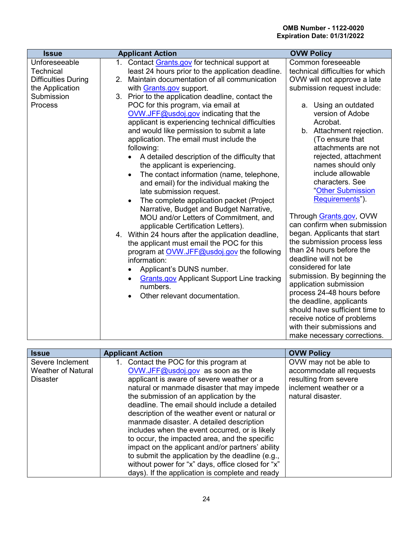| <b>Issue</b>                                                                                                       | <b>Applicant Action</b>                                                                                                                                                                                                                                                                                                                                                                                                                                                                                                                                                                                                                                                                                                                                                                                                                                                                                                                                                                                                                                                                                                                                                                                              | <b>OVW Policy</b>                                                                                                                                                                                                                                                                                                                                                                                                                                                                                                                                                                                                                                                                                                                                                                                                                    |
|--------------------------------------------------------------------------------------------------------------------|----------------------------------------------------------------------------------------------------------------------------------------------------------------------------------------------------------------------------------------------------------------------------------------------------------------------------------------------------------------------------------------------------------------------------------------------------------------------------------------------------------------------------------------------------------------------------------------------------------------------------------------------------------------------------------------------------------------------------------------------------------------------------------------------------------------------------------------------------------------------------------------------------------------------------------------------------------------------------------------------------------------------------------------------------------------------------------------------------------------------------------------------------------------------------------------------------------------------|--------------------------------------------------------------------------------------------------------------------------------------------------------------------------------------------------------------------------------------------------------------------------------------------------------------------------------------------------------------------------------------------------------------------------------------------------------------------------------------------------------------------------------------------------------------------------------------------------------------------------------------------------------------------------------------------------------------------------------------------------------------------------------------------------------------------------------------|
| Unforeseeable<br><b>Technical</b><br><b>Difficulties During</b><br>the Application<br>Submission<br><b>Process</b> | 1. Contact Grants.gov for technical support at<br>least 24 hours prior to the application deadline.<br>Maintain documentation of all communication<br>2.<br>with Grants.gov support.<br>3. Prior to the application deadline, contact the<br>POC for this program, via email at<br>OVW.JFF@usdoj.gov indicating that the<br>applicant is experiencing technical difficulties<br>and would like permission to submit a late<br>application. The email must include the<br>following:<br>A detailed description of the difficulty that<br>the applicant is experiencing.<br>The contact information (name, telephone,<br>$\bullet$<br>and email) for the individual making the<br>late submission request.<br>The complete application packet (Project<br>$\bullet$<br>Narrative, Budget and Budget Narrative,<br>MOU and/or Letters of Commitment, and<br>applicable Certification Letters).<br>4. Within 24 hours after the application deadline,<br>the applicant must email the POC for this<br>program at OVW.JFF@usdoj.gov the following<br>information:<br>Applicant's DUNS number.<br>$\bullet$<br><b>Grants.gov Applicant Support Line tracking</b><br>$\bullet$<br>numbers.<br>Other relevant documentation. | Common foreseeable<br>technical difficulties for which<br>OVW will not approve a late<br>submission request include:<br>a. Using an outdated<br>version of Adobe<br>Acrobat.<br>b. Attachment rejection.<br>(To ensure that<br>attachments are not<br>rejected, attachment<br>names should only<br>include allowable<br>characters. See<br>"Other Submission<br>Requirements").<br>Through Grants.gov, OVW<br>can confirm when submission<br>began. Applicants that start<br>the submission process less<br>than 24 hours before the<br>deadline will not be<br>considered for late<br>submission. By beginning the<br>application submission<br>process 24-48 hours before<br>the deadline, applicants<br>should have sufficient time to<br>receive notice of problems<br>with their submissions and<br>make necessary corrections. |

| 1. Contact the POC for this program at<br>Severe Inclement                                                                                                                                                                                                                                                                                                                                                                                                                                                                                                                                                                                                                                                                                                        | <b>OVW Policy</b>                                  |
|-------------------------------------------------------------------------------------------------------------------------------------------------------------------------------------------------------------------------------------------------------------------------------------------------------------------------------------------------------------------------------------------------------------------------------------------------------------------------------------------------------------------------------------------------------------------------------------------------------------------------------------------------------------------------------------------------------------------------------------------------------------------|----------------------------------------------------|
| OVW.JFF@usdoj.gov as soon as the<br><b>Weather of Natural</b><br>resulting from severe<br>applicant is aware of severe weather or a<br><b>Disaster</b><br>inclement weather or a<br>natural or manmade disaster that may impede<br>the submission of an application by the<br>natural disaster.<br>deadline. The email should include a detailed<br>description of the weather event or natural or<br>manmade disaster. A detailed description<br>includes when the event occurred, or is likely<br>to occur, the impacted area, and the specific<br>impact on the applicant and/or partners' ability<br>to submit the application by the deadline (e.g.,<br>without power for "x" days, office closed for "x"<br>days). If the application is complete and ready | OVW may not be able to<br>accommodate all requests |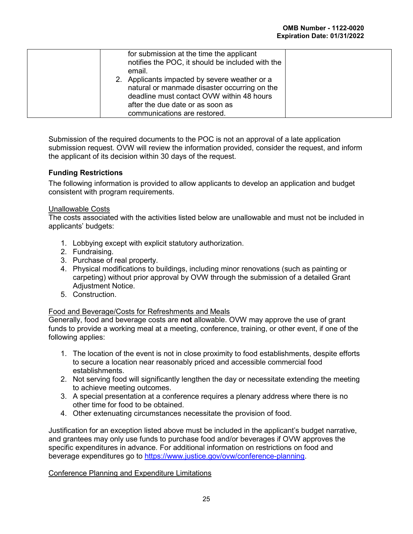| for submission at the time the applicant<br>notifies the POC, it should be included with the<br>email.<br>2. Applicants impacted by severe weather or a<br>natural or manmade disaster occurring on the<br>deadline must contact OVW within 48 hours<br>after the due date or as soon as |
|------------------------------------------------------------------------------------------------------------------------------------------------------------------------------------------------------------------------------------------------------------------------------------------|
| communications are restored.                                                                                                                                                                                                                                                             |

Submission of the required documents to the POC is not an approval of a late application submission request. OVW will review the information provided, consider the request, and inform the applicant of its decision within 30 days of the request.

# <span id="page-28-0"></span>**Funding Restrictions**

The following information is provided to allow applicants to develop an application and budget consistent with program requirements.

#### Unallowable Costs

The costs associated with the activities listed below are unallowable and must not be included in applicants' budgets:

- 1. Lobbying except with explicit statutory authorization.
- 2. Fundraising.
- 3. Purchase of real property.
- 4. Physical modifications to buildings, including minor renovations (such as painting or carpeting) without prior approval by OVW through the submission of a detailed Grant Adjustment Notice.
- 5. Construction.

#### Food and Beverage/Costs for Refreshments and Meals

Generally, food and beverage costs are **not** allowable. OVW may approve the use of grant funds to provide a working meal at a meeting, conference, training, or other event, if one of the following applies:

- 1. The location of the event is not in close proximity to food establishments, despite efforts to secure a location near reasonably priced and accessible commercial food establishments.
- 2. Not serving food will significantly lengthen the day or necessitate extending the meeting to achieve meeting outcomes.
- 3. A special presentation at a conference requires a plenary address where there is no other time for food to be obtained.
- 4. Other extenuating circumstances necessitate the provision of food.

Justification for an exception listed above must be included in the applicant's budget narrative, and grantees may only use funds to purchase food and/or beverages if OVW approves the specific expenditures in advance. For additional information on restrictions on food and beverage expenditures go to [https://www.justice.gov/ovw/conference-planning.](https://www.justice.gov/ovw/conference-planning)

#### Conference Planning and Expenditure Limitations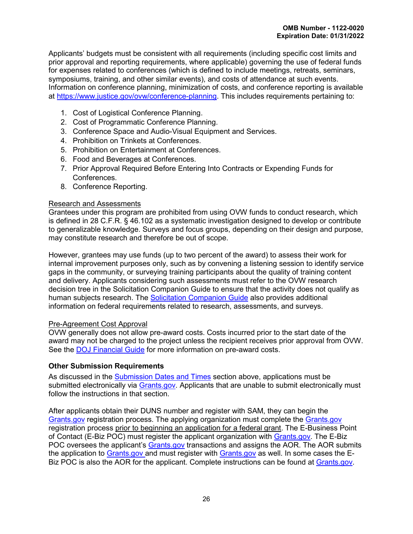Applicants' budgets must be consistent with all requirements (including specific cost limits and prior approval and reporting requirements, where applicable) governing the use of federal funds for expenses related to conferences (which is defined to include meetings, retreats, seminars, symposiums, training, and other similar events), and costs of attendance at such events. Information on conference planning, minimization of costs, and conference reporting is available at [https://www.justice.gov/ovw/conference-planning.](https://www.justice.gov/ovw/conference-planning) This includes requirements pertaining to:

- 1. Cost of Logistical Conference Planning.
- 2. Cost of Programmatic Conference Planning.
- 3. Conference Space and Audio-Visual Equipment and Services.
- 4. Prohibition on Trinkets at Conferences.
- 5. Prohibition on Entertainment at Conferences.
- 6. Food and Beverages at Conferences.
- 7. Prior Approval Required Before Entering Into Contracts or Expending Funds for Conferences.
- 8. Conference Reporting.

#### Research and Assessments

Grantees under this program are prohibited from using OVW funds to conduct research, which is defined in 28 C.F.R. § 46.102 as a systematic investigation designed to develop or contribute to generalizable knowledge. Surveys and focus groups, depending on their design and purpose, may constitute research and therefore be out of scope.

However, grantees may use funds (up to two percent of the award) to assess their work for internal improvement purposes only, such as by convening a listening session to identify service gaps in the community, or surveying training participants about the quality of training content and delivery. Applicants considering such assessments must refer to the OVW research decision tree in the Solicitation Companion Guide to ensure that the activity does not qualify as human subjects research. The [Solicitation Companion Guide](https://www.justice.gov/ovw/resources-applicants) also provides additional information on federal requirements related to research, assessments, and surveys.

#### Pre-Agreement Cost Approval

OVW generally does not allow pre-award costs. Costs incurred prior to the start date of the award may not be charged to the project unless the recipient receives prior approval from OVW. See the [DOJ Financial Guide](https://www.justice.gov/ovw/file/1030311/download) for more information on pre-award costs.

# <span id="page-29-0"></span>**Other Submission Requirements**

As discussed in the [Submission Dates and Times](#page-26-0) section above, applications must be submitted electronically via [Grants.gov.](http://www.grants.gov/) Applicants that are unable to submit electronically must follow the instructions in that section.

After applicants obtain their DUNS number and register with SAM, they can begin the [Grants.gov](file://gsd-nas-tcs01/home/agaston/A.Gaston/Program/2020/JFF/Grants.gov) registration process. The applying organization must complete the [Grants.gov](http://www.grants.gov/) registration process prior to beginning an application for a federal grant. The E-Business Point of Contact (E-Biz POC) must register the applicant organization with [Grants.gov.](http://www.grants.gov/) The E-Biz POC oversees the applicant's Grants.gov transactions and assigns the AOR. The AOR submits the application to [Grants.gov](http://www.grants.gov/) and must register with Grants.gov as well. In some cases the E-Biz POC is also the AOR for the applicant. Complete instructions can be found at [Grants.gov.](http://www.grants.gov/)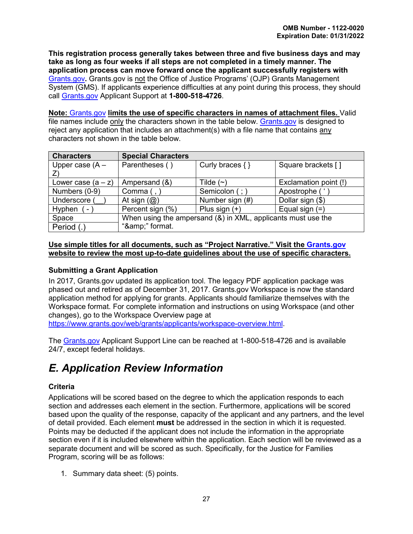**This registration process generally takes between three and five business days and may take as long as four weeks if all steps are not completed in a timely manner. The application process can move forward once the applicant successfully registers with**  [Grants.gov](http://www.grants.gov/)**.** Grants.gov is not the Office of Justice Programs' (OJP) Grants Management System (GMS). If applicants experience difficulties at any point during this process, they should call [Grants.gov](http://www.grants.gov/) Applicant Support at **1-800-518-4726**.

**Note:** [Grants.gov](http://www.grants.gov/) **limits the use of specific characters in names of attachment files.** Valid file names include only the characters shown in the table below. [Grants.gov](http://www.grants.gov/) is designed to reject any application that includes an attachment(s) with a file name that contains any characters not shown in the table below.

| <b>Characters</b>    | <b>Special Characters</b>                                    |                     |                       |
|----------------------|--------------------------------------------------------------|---------------------|-----------------------|
| Upper case $(A -$    | Parentheses ()                                               | Curly braces $\{\}$ | Square brackets []    |
|                      |                                                              |                     |                       |
| Lower case $(a - z)$ | Ampersand (&)                                                | Tilde $(\sim)$      | Exclamation point (!) |
| Numbers (0-9)        | Comma (                                                      | Semicolon (; )      | Apostrophe ('         |
| Underscore           | At sign $(Q)$                                                | Number sign (#)     | Dollar sign (\$)      |
| Hyphen (<br>$\sim$   | Percent sign (%)                                             | Plus sign $(+)$     | Equal sign $(=)$      |
| Space                | When using the ampersand (&) in XML, applicants must use the |                     |                       |
| Period (.)           | "&" format.                                                  |                     |                       |

#### **Use simple titles for all documents, such as "Project Narrative." Visit the [Grants.gov](http://www.grants.gov/) website to review the most up-to-date guidelines about the use of specific characters.**

# <span id="page-30-0"></span>**Submitting a Grant Application**

In 2017, Grants.gov updated its application tool. The legacy PDF application package was phased out and retired as of December 31, 2017. Grants.gov Workspace is now the standard application method for applying for grants. Applicants should familiarize themselves with the Workspace format. For complete information and instructions on using Workspace (and other changes), go to the Workspace Overview page at

[https://www.grants.gov/web/grants/applicants/workspace-overview.html.](https://www.grants.gov/web/grants/applicants/workspace-overview.html)

The [Grants.gov](http://www.grants.gov/) Applicant Support Line can be reached at 1-800-518-4726 and is available 24/7, except federal holidays.

# <span id="page-30-1"></span>*E. Application Review Information*

# <span id="page-30-2"></span>**Criteria**

Applications will be scored based on the degree to which the application responds to each section and addresses each element in the section. Furthermore, applications will be scored based upon the quality of the response, capacity of the applicant and any partners, and the level of detail provided. Each element **must** be addressed in the section in which it is requested. Points may be deducted if the applicant does not include the information in the appropriate section even if it is included elsewhere within the application. Each section will be reviewed as a separate document and will be scored as such. Specifically, for the Justice for Families Program, scoring will be as follows:

1. Summary data sheet: (5) points.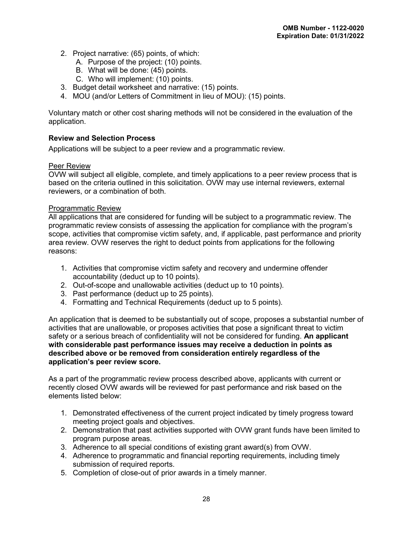- 2. Project narrative: (65) points, of which:
	- A. Purpose of the project: (10) points.
	- B. What will be done: (45) points.
	- C. Who will implement: (10) points.
- 3. Budget detail worksheet and narrative: (15) points.
- 4. MOU (and/or Letters of Commitment in lieu of MOU): (15) points.

Voluntary match or other cost sharing methods will not be considered in the evaluation of the application.

#### <span id="page-31-0"></span>**Review and Selection Process**

Applications will be subject to a peer review and a programmatic review.

#### Peer Review

OVW will subject all eligible, complete, and timely applications to a peer review process that is based on the criteria outlined in this solicitation. OVW may use internal reviewers, external reviewers, or a combination of both.

#### Programmatic Review

All applications that are considered for funding will be subject to a programmatic review. The programmatic review consists of assessing the application for compliance with the program's scope, activities that compromise victim safety, and, if applicable, past performance and priority area review. OVW reserves the right to deduct points from applications for the following reasons:

- 1. Activities that compromise victim safety and recovery and undermine offender accountability (deduct up to 10 points).
- 2. Out-of-scope and unallowable activities (deduct up to 10 points).
- 3. Past performance (deduct up to 25 points).
- 4. Formatting and Technical Requirements (deduct up to 5 points).

An application that is deemed to be substantially out of scope, proposes a substantial number of activities that are unallowable, or proposes activities that pose a significant threat to victim safety or a serious breach of confidentiality will not be considered for funding. **An applicant with considerable past performance issues may receive a deduction in points as described above or be removed from consideration entirely regardless of the application's peer review score.**

As a part of the programmatic review process described above, applicants with current or recently closed OVW awards will be reviewed for past performance and risk based on the elements listed below:

- 1. Demonstrated effectiveness of the current project indicated by timely progress toward meeting project goals and objectives.
- 2. Demonstration that past activities supported with OVW grant funds have been limited to program purpose areas.
- 3. Adherence to all special conditions of existing grant award(s) from OVW.
- 4. Adherence to programmatic and financial reporting requirements, including timely submission of required reports.
- 5. Completion of close-out of prior awards in a timely manner.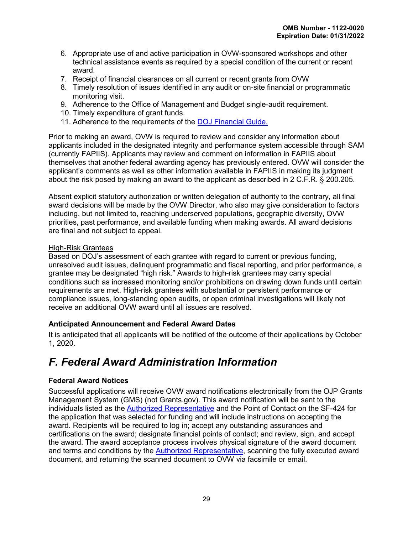- 6. Appropriate use of and active participation in OVW-sponsored workshops and other technical assistance events as required by a special condition of the current or recent award.
- 7. Receipt of financial clearances on all current or recent grants from OVW
- 8. Timely resolution of issues identified in any audit or on-site financial or programmatic monitoring visit.
- 9. Adherence to the Office of Management and Budget single-audit requirement.
- 10. Timely expenditure of grant funds.
- 11. Adherence to the requirements of the [DOJ Financial Guide.](https://www.justice.gov/ovw/file/1030311/download)

Prior to making an award, OVW is required to review and consider any information about applicants included in the designated integrity and performance system accessible through SAM (currently FAPIIS). Applicants may review and comment on information in FAPIIS about themselves that another federal awarding agency has previously entered. OVW will consider the applicant's comments as well as other information available in FAPIIS in making its judgment about the risk posed by making an award to the applicant as described in 2 C.F.R. § 200.205.

Absent explicit statutory authorization or written delegation of authority to the contrary, all final award decisions will be made by the OVW Director, who also may give consideration to factors including, but not limited to, reaching underserved populations, geographic diversity, OVW priorities, past performance, and available funding when making awards. All award decisions are final and not subject to appeal.

# High-Risk Grantees

Based on DOJ's assessment of each grantee with regard to current or previous funding, unresolved audit issues, delinquent programmatic and fiscal reporting, and prior performance, a grantee may be designated "high risk." Awards to high-risk grantees may carry special conditions such as increased monitoring and/or prohibitions on drawing down funds until certain requirements are met. High-risk grantees with substantial or persistent performance or compliance issues, long-standing open audits, or open criminal investigations will likely not receive an additional OVW award until all issues are resolved.

# <span id="page-32-0"></span>**Anticipated Announcement and Federal Award Dates**

It is anticipated that all applicants will be notified of the outcome of their applications by October 1, 2020.

# <span id="page-32-1"></span>*F. Federal Award Administration Information*

# <span id="page-32-2"></span>**Federal Award Notices**

Successful applications will receive OVW award notifications electronically from the OJP Grants Management System (GMS) (not Grants.gov). This award notification will be sent to the individuals listed as the [Authorized Representative](#page-21-0) and the Point of Contact on the SF-424 for the application that was selected for funding and will include instructions on accepting the award. Recipients will be required to log in; accept any outstanding assurances and certifications on the award; designate financial points of contact; and review, sign, and accept the award. The award acceptance process involves physical signature of the award document and terms and conditions by the [Authorized Representative,](#page-21-0) scanning the fully executed award document, and returning the scanned document to OVW via facsimile or email.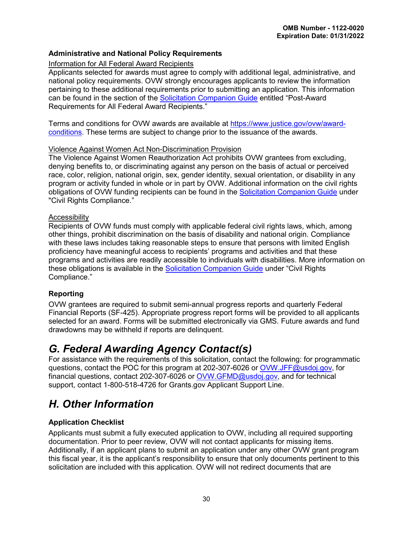# <span id="page-33-0"></span>**Administrative and National Policy Requirements**

#### Information for All Federal Award Recipients

Applicants selected for awards must agree to comply with additional legal, administrative, and national policy requirements. OVW strongly encourages applicants to review the information pertaining to these additional requirements prior to submitting an application. This information can be found in the section of the [Solicitation Companion Guide](https://www.justice.gov/ovw/resources-applicants) entitled "Post-Award Requirements for All Federal Award Recipients."

Terms and conditions for OVW awards are available at [https://www.justice.gov/ovw/award](https://www.justice.gov/ovw/award-conditions)[conditions.](https://www.justice.gov/ovw/award-conditions) These terms are subject to change prior to the issuance of the awards.

#### Violence Against Women Act Non-Discrimination Provision

The Violence Against Women Reauthorization Act prohibits OVW grantees from excluding, denying benefits to, or discriminating against any person on the basis of actual or perceived race, color, religion, national origin, sex, gender identity, sexual orientation, or disability in any program or activity funded in whole or in part by OVW. Additional information on the civil rights obligations of OVW funding recipients can be found in the [Solicitation Companion Guide](https://www.justice.gov/ovw/resources-applicants) under "Civil Rights Compliance."

#### <span id="page-33-5"></span>**Accessibility**

Recipients of OVW funds must comply with applicable federal civil rights laws, which, among other things, prohibit discrimination on the basis of disability and national origin. Compliance with these laws includes taking reasonable steps to ensure that persons with limited English proficiency have meaningful access to recipients' programs and activities and that these programs and activities are readily accessible to individuals with disabilities. More information on these obligations is available in the [Solicitation Companion Guide](https://www.justice.gov/ovw/resources-applicants) under "Civil Rights Compliance."

# <span id="page-33-1"></span>**Reporting**

OVW grantees are required to submit semi-annual progress reports and quarterly Federal Financial Reports (SF-425). Appropriate progress report forms will be provided to all applicants selected for an award. Forms will be submitted electronically via GMS. Future awards and fund drawdowns may be withheld if reports are delinquent.

# <span id="page-33-2"></span>*G. Federal Awarding Agency Contact(s)*

For assistance with the requirements of this solicitation, contact the following: for programmatic questions, contact the POC for this program at 202-307-6026 or [OVW.JFF@usdoj.gov,](mailto:OVW.JFF@usdoj.gov) for financial questions, contact 202-307-6026 or [OVW.GFMD@usdoj.gov,](mailto:OVW.GFMD@usdoj.gov) and for technical support, contact 1-800-518-4726 for Grants.gov Applicant Support Line.

# <span id="page-33-3"></span>*H. Other Information*

# <span id="page-33-4"></span>**Application Checklist**

Applicants must submit a fully executed application to OVW, including all required supporting documentation. Prior to peer review, OVW will not contact applicants for missing items. Additionally, if an applicant plans to submit an application under any other OVW grant program this fiscal year, it is the applicant's responsibility to ensure that only documents pertinent to this solicitation are included with this application. OVW will not redirect documents that are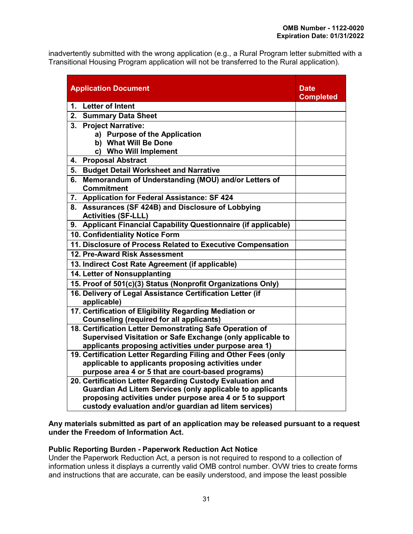inadvertently submitted with the wrong application (e.g., a Rural Program letter submitted with a Transitional Housing Program application will not be transferred to the Rural application).

| <b>Application Document</b>                                                                                                   | Date<br><b>Completed</b> |
|-------------------------------------------------------------------------------------------------------------------------------|--------------------------|
| 1. Letter of Intent                                                                                                           |                          |
| 2.<br><b>Summary Data Sheet</b>                                                                                               |                          |
| <b>Project Narrative:</b><br>3.                                                                                               |                          |
| a) Purpose of the Application                                                                                                 |                          |
| b) What Will Be Done                                                                                                          |                          |
| c) Who Will Implement                                                                                                         |                          |
| <b>Proposal Abstract</b><br>4.                                                                                                |                          |
| <b>Budget Detail Worksheet and Narrative</b><br>5.                                                                            |                          |
| Memorandum of Understanding (MOU) and/or Letters of<br>6.<br><b>Commitment</b>                                                |                          |
| 7. Application for Federal Assistance: SF 424                                                                                 |                          |
| 8. Assurances (SF 424B) and Disclosure of Lobbying                                                                            |                          |
| <b>Activities (SF-LLL)</b>                                                                                                    |                          |
| 9. Applicant Financial Capability Questionnaire (if applicable)                                                               |                          |
| 10. Confidentiality Notice Form                                                                                               |                          |
| 11. Disclosure of Process Related to Executive Compensation                                                                   |                          |
| 12. Pre-Award Risk Assessment                                                                                                 |                          |
| 13. Indirect Cost Rate Agreement (if applicable)                                                                              |                          |
| 14. Letter of Nonsupplanting                                                                                                  |                          |
| 15. Proof of 501(c)(3) Status (Nonprofit Organizations Only)                                                                  |                          |
| 16. Delivery of Legal Assistance Certification Letter (if<br>applicable)                                                      |                          |
| 17. Certification of Eligibility Regarding Mediation or<br><b>Counseling (required for all applicants)</b>                    |                          |
| 18. Certification Letter Demonstrating Safe Operation of                                                                      |                          |
| Supervised Visitation or Safe Exchange (only applicable to                                                                    |                          |
| applicants proposing activities under purpose area 1)                                                                         |                          |
| 19. Certification Letter Regarding Filing and Other Fees (only                                                                |                          |
| applicable to applicants proposing activities under                                                                           |                          |
| purpose area 4 or 5 that are court-based programs)                                                                            |                          |
| 20. Certification Letter Regarding Custody Evaluation and<br><b>Guardian Ad Litem Services (only applicable to applicants</b> |                          |
| proposing activities under purpose area 4 or 5 to support                                                                     |                          |
| custody evaluation and/or guardian ad litem services)                                                                         |                          |
|                                                                                                                               |                          |

#### **Any materials submitted as part of an application may be released pursuant to a request under the Freedom of Information Act.**

# **Public Reporting Burden - Paperwork Reduction Act Notice**

Under the Paperwork Reduction Act, a person is not required to respond to a collection of information unless it displays a currently valid OMB control number. OVW tries to create forms and instructions that are accurate, can be easily understood, and impose the least possible